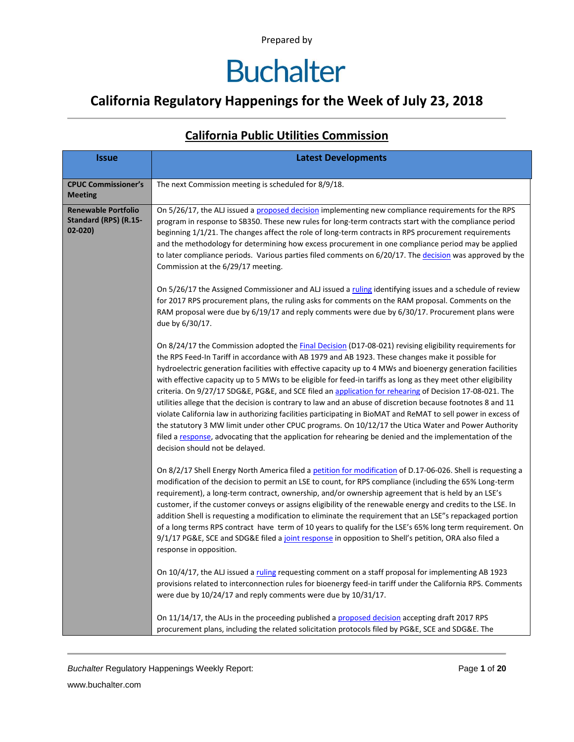### **California Regulatory Happenings for the Week of July 23, 2018**

| <b>Issue</b>                                                      | <b>Latest Developments</b>                                                                                                                                                                                                                                                                                                                                                                                                                                                                                                                                                                                                                                                                                                                                                                                                                                                                                                                                                                                                                   |
|-------------------------------------------------------------------|----------------------------------------------------------------------------------------------------------------------------------------------------------------------------------------------------------------------------------------------------------------------------------------------------------------------------------------------------------------------------------------------------------------------------------------------------------------------------------------------------------------------------------------------------------------------------------------------------------------------------------------------------------------------------------------------------------------------------------------------------------------------------------------------------------------------------------------------------------------------------------------------------------------------------------------------------------------------------------------------------------------------------------------------|
| <b>CPUC Commissioner's</b><br><b>Meeting</b>                      | The next Commission meeting is scheduled for 8/9/18.                                                                                                                                                                                                                                                                                                                                                                                                                                                                                                                                                                                                                                                                                                                                                                                                                                                                                                                                                                                         |
| <b>Renewable Portfolio</b><br>Standard (RPS) (R.15-<br>$02 - 020$ | On 5/26/17, the ALJ issued a proposed decision implementing new compliance requirements for the RPS<br>program in response to SB350. These new rules for long-term contracts start with the compliance period<br>beginning 1/1/21. The changes affect the role of long-term contracts in RPS procurement requirements<br>and the methodology for determining how excess procurement in one compliance period may be applied<br>to later compliance periods. Various parties filed comments on 6/20/17. The decision was approved by the<br>Commission at the 6/29/17 meeting.                                                                                                                                                                                                                                                                                                                                                                                                                                                                |
|                                                                   | On 5/26/17 the Assigned Commissioner and ALJ issued a ruling identifying issues and a schedule of review<br>for 2017 RPS procurement plans, the ruling asks for comments on the RAM proposal. Comments on the<br>RAM proposal were due by 6/19/17 and reply comments were due by 6/30/17. Procurement plans were<br>due by 6/30/17.                                                                                                                                                                                                                                                                                                                                                                                                                                                                                                                                                                                                                                                                                                          |
|                                                                   | On 8/24/17 the Commission adopted the Final Decision (D17-08-021) revising eligibility requirements for<br>the RPS Feed-In Tariff in accordance with AB 1979 and AB 1923. These changes make it possible for<br>hydroelectric generation facilities with effective capacity up to 4 MWs and bioenergy generation facilities<br>with effective capacity up to 5 MWs to be eligible for feed-in tariffs as long as they meet other eligibility<br>criteria. On 9/27/17 SDG&E, PG&E, and SCE filed an application for rehearing of Decision 17-08-021. The<br>utilities allege that the decision is contrary to law and an abuse of discretion because footnotes 8 and 11<br>violate California law in authorizing facilities participating in BioMAT and ReMAT to sell power in excess of<br>the statutory 3 MW limit under other CPUC programs. On 10/12/17 the Utica Water and Power Authority<br>filed a response, advocating that the application for rehearing be denied and the implementation of the<br>decision should not be delayed. |
|                                                                   | On 8/2/17 Shell Energy North America filed a petition for modification of D.17-06-026. Shell is requesting a<br>modification of the decision to permit an LSE to count, for RPS compliance (including the 65% Long-term<br>requirement), a long-term contract, ownership, and/or ownership agreement that is held by an LSE's<br>customer, if the customer conveys or assigns eligibility of the renewable energy and credits to the LSE. In<br>addition Shell is requesting a modification to eliminate the requirement that an LSE"s repackaged portion<br>of a long terms RPS contract have term of 10 years to qualify for the LSE's 65% long term requirement. On<br>9/1/17 PG&E, SCE and SDG&E filed a joint response in opposition to Shell's petition, ORA also filed a<br>response in opposition.                                                                                                                                                                                                                                   |
|                                                                   | On 10/4/17, the ALJ issued a ruling requesting comment on a staff proposal for implementing AB 1923<br>provisions related to interconnection rules for bioenergy feed-in tariff under the California RPS. Comments<br>were due by 10/24/17 and reply comments were due by 10/31/17.                                                                                                                                                                                                                                                                                                                                                                                                                                                                                                                                                                                                                                                                                                                                                          |
|                                                                   | On 11/14/17, the ALJs in the proceeding published a proposed decision accepting draft 2017 RPS<br>procurement plans, including the related solicitation protocols filed by PG&E, SCE and SDG&E. The                                                                                                                                                                                                                                                                                                                                                                                                                                                                                                                                                                                                                                                                                                                                                                                                                                          |

#### **California Public Utilities Commission**

**Buchalter Regulatory Happenings Weekly Report:** Page 1 of 20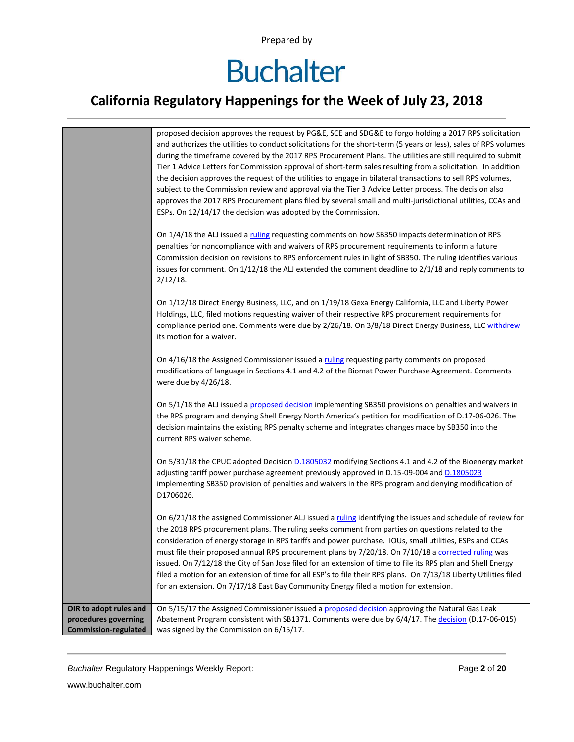# **Buchalter**

### **California Regulatory Happenings for the Week of July 23, 2018**

|                             | proposed decision approves the request by PG&E, SCE and SDG&E to forgo holding a 2017 RPS solicitation            |
|-----------------------------|-------------------------------------------------------------------------------------------------------------------|
|                             | and authorizes the utilities to conduct solicitations for the short-term (5 years or less), sales of RPS volumes  |
|                             | during the timeframe covered by the 2017 RPS Procurement Plans. The utilities are still required to submit        |
|                             | Tier 1 Advice Letters for Commission approval of short-term sales resulting from a solicitation. In addition      |
|                             | the decision approves the request of the utilities to engage in bilateral transactions to sell RPS volumes,       |
|                             | subject to the Commission review and approval via the Tier 3 Advice Letter process. The decision also             |
|                             | approves the 2017 RPS Procurement plans filed by several small and multi-jurisdictional utilities, CCAs and       |
|                             | ESPs. On 12/14/17 the decision was adopted by the Commission.                                                     |
|                             | On 1/4/18 the ALJ issued a ruling requesting comments on how SB350 impacts determination of RPS                   |
|                             | penalties for noncompliance with and waivers of RPS procurement requirements to inform a future                   |
|                             | Commission decision on revisions to RPS enforcement rules in light of SB350. The ruling identifies various        |
|                             | issues for comment. On 1/12/18 the ALJ extended the comment deadline to 2/1/18 and reply comments to              |
|                             | $2/12/18$ .                                                                                                       |
|                             |                                                                                                                   |
|                             | On 1/12/18 Direct Energy Business, LLC, and on 1/19/18 Gexa Energy California, LLC and Liberty Power              |
|                             | Holdings, LLC, filed motions requesting waiver of their respective RPS procurement requirements for               |
|                             | compliance period one. Comments were due by 2/26/18. On 3/8/18 Direct Energy Business, LLC withdrew               |
|                             | its motion for a waiver.                                                                                          |
|                             | On 4/16/18 the Assigned Commissioner issued a ruling requesting party comments on proposed                        |
|                             | modifications of language in Sections 4.1 and 4.2 of the Biomat Power Purchase Agreement. Comments                |
|                             | were due by 4/26/18.                                                                                              |
|                             |                                                                                                                   |
|                             | On 5/1/18 the ALJ issued a proposed decision implementing SB350 provisions on penalties and waivers in            |
|                             | the RPS program and denying Shell Energy North America's petition for modification of D.17-06-026. The            |
|                             | decision maintains the existing RPS penalty scheme and integrates changes made by SB350 into the                  |
|                             | current RPS waiver scheme.                                                                                        |
|                             | On 5/31/18 the CPUC adopted Decision D.1805032 modifying Sections 4.1 and 4.2 of the Bioenergy market             |
|                             | adjusting tariff power purchase agreement previously approved in D.15-09-004 and D.1805023                        |
|                             | implementing SB350 provision of penalties and waivers in the RPS program and denying modification of              |
|                             | D1706026.                                                                                                         |
|                             |                                                                                                                   |
|                             | On 6/21/18 the assigned Commissioner ALJ issued a ruling identifying the issues and schedule of review for        |
|                             | the 2018 RPS procurement plans. The ruling seeks comment from parties on questions related to the                 |
|                             | consideration of energy storage in RPS tariffs and power purchase. IOUs, small utilities, ESPs and CCAs           |
|                             | must file their proposed annual RPS procurement plans by 7/20/18. On 7/10/18 a corrected ruling was               |
|                             | issued. On 7/12/18 the City of San Jose filed for an extension of time to file its RPS plan and Shell Energy      |
|                             | filed a motion for an extension of time for all ESP's to file their RPS plans. On 7/13/18 Liberty Utilities filed |
|                             | for an extension. On 7/17/18 East Bay Community Energy filed a motion for extension.                              |
| OIR to adopt rules and      | On 5/15/17 the Assigned Commissioner issued a proposed decision approving the Natural Gas Leak                    |
| procedures governing        | Abatement Program consistent with SB1371. Comments were due by 6/4/17. The decision (D.17-06-015)                 |
| <b>Commission-regulated</b> | was signed by the Commission on 6/15/17.                                                                          |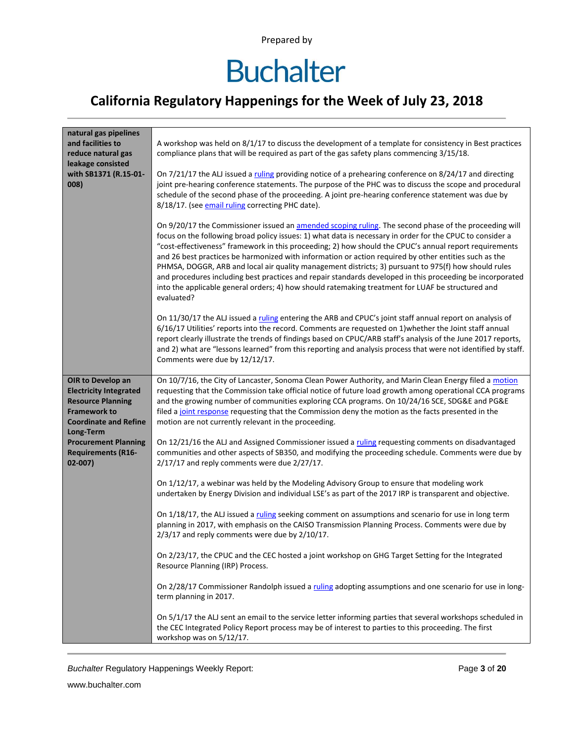### **California Regulatory Happenings for the Week of July 23, 2018**

| natural gas pipelines                                                                                                                 |                                                                                                                                                                                                                                                                                                                                                                                                                                                                                                                                                                                                                                                                                                                                                                               |
|---------------------------------------------------------------------------------------------------------------------------------------|-------------------------------------------------------------------------------------------------------------------------------------------------------------------------------------------------------------------------------------------------------------------------------------------------------------------------------------------------------------------------------------------------------------------------------------------------------------------------------------------------------------------------------------------------------------------------------------------------------------------------------------------------------------------------------------------------------------------------------------------------------------------------------|
| and facilities to                                                                                                                     | A workshop was held on 8/1/17 to discuss the development of a template for consistency in Best practices                                                                                                                                                                                                                                                                                                                                                                                                                                                                                                                                                                                                                                                                      |
| reduce natural gas                                                                                                                    | compliance plans that will be required as part of the gas safety plans commencing 3/15/18.                                                                                                                                                                                                                                                                                                                                                                                                                                                                                                                                                                                                                                                                                    |
| leakage consisted                                                                                                                     |                                                                                                                                                                                                                                                                                                                                                                                                                                                                                                                                                                                                                                                                                                                                                                               |
| with SB1371 (R.15-01-<br>008)                                                                                                         | On 7/21/17 the ALJ issued a ruling providing notice of a prehearing conference on 8/24/17 and directing<br>joint pre-hearing conference statements. The purpose of the PHC was to discuss the scope and procedural<br>schedule of the second phase of the proceeding. A joint pre-hearing conference statement was due by<br>8/18/17. (see email ruling correcting PHC date).                                                                                                                                                                                                                                                                                                                                                                                                 |
|                                                                                                                                       | On 9/20/17 the Commissioner issued an amended scoping ruling. The second phase of the proceeding will<br>focus on the following broad policy issues: 1) what data is necessary in order for the CPUC to consider a<br>"cost-effectiveness" framework in this proceeding; 2) how should the CPUC's annual report requirements<br>and 26 best practices be harmonized with information or action required by other entities such as the<br>PHMSA, DOGGR, ARB and local air quality management districts; 3) pursuant to 975(f) how should rules<br>and procedures including best practices and repair standards developed in this proceeding be incorporated<br>into the applicable general orders; 4) how should ratemaking treatment for LUAF be structured and<br>evaluated? |
|                                                                                                                                       | On 11/30/17 the ALJ issued a ruling entering the ARB and CPUC's joint staff annual report on analysis of<br>6/16/17 Utilities' reports into the record. Comments are requested on 1) whether the Joint staff annual<br>report clearly illustrate the trends of findings based on CPUC/ARB staff's analysis of the June 2017 reports,<br>and 2) what are "lessons learned" from this reporting and analysis process that were not identified by staff.<br>Comments were due by 12/12/17.                                                                                                                                                                                                                                                                                       |
| OIR to Develop an<br><b>Electricity Integrated</b><br><b>Resource Planning</b><br><b>Framework to</b><br><b>Coordinate and Refine</b> | On 10/7/16, the City of Lancaster, Sonoma Clean Power Authority, and Marin Clean Energy filed a motion<br>requesting that the Commission take official notice of future load growth among operational CCA programs<br>and the growing number of communities exploring CCA programs. On 10/24/16 SCE, SDG&E and PG&E<br>filed a joint response requesting that the Commission deny the motion as the facts presented in the<br>motion are not currently relevant in the proceeding.                                                                                                                                                                                                                                                                                            |
| Long-Term<br><b>Procurement Planning</b><br><b>Requirements (R16-</b><br>$02 - 007$                                                   | On 12/21/16 the ALJ and Assigned Commissioner issued a ruling requesting comments on disadvantaged<br>communities and other aspects of SB350, and modifying the proceeding schedule. Comments were due by<br>2/17/17 and reply comments were due 2/27/17.                                                                                                                                                                                                                                                                                                                                                                                                                                                                                                                     |
|                                                                                                                                       | On 1/12/17, a webinar was held by the Modeling Advisory Group to ensure that modeling work<br>undertaken by Energy Division and individual LSE's as part of the 2017 IRP is transparent and objective.                                                                                                                                                                                                                                                                                                                                                                                                                                                                                                                                                                        |
|                                                                                                                                       | On 1/18/17, the ALJ issued a ruling seeking comment on assumptions and scenario for use in long term<br>planning in 2017, with emphasis on the CAISO Transmission Planning Process. Comments were due by<br>$2/3/17$ and reply comments were due by $2/10/17$ .                                                                                                                                                                                                                                                                                                                                                                                                                                                                                                               |
|                                                                                                                                       | On 2/23/17, the CPUC and the CEC hosted a joint workshop on GHG Target Setting for the Integrated<br>Resource Planning (IRP) Process.                                                                                                                                                                                                                                                                                                                                                                                                                                                                                                                                                                                                                                         |
|                                                                                                                                       | On 2/28/17 Commissioner Randolph issued a ruling adopting assumptions and one scenario for use in long-<br>term planning in 2017.                                                                                                                                                                                                                                                                                                                                                                                                                                                                                                                                                                                                                                             |
|                                                                                                                                       | On 5/1/17 the ALJ sent an email to the service letter informing parties that several workshops scheduled in<br>the CEC Integrated Policy Report process may be of interest to parties to this proceeding. The first<br>workshop was on 5/12/17.                                                                                                                                                                                                                                                                                                                                                                                                                                                                                                                               |

**Buchalter Regulatory Happenings Weekly Report:** Page 3 of 20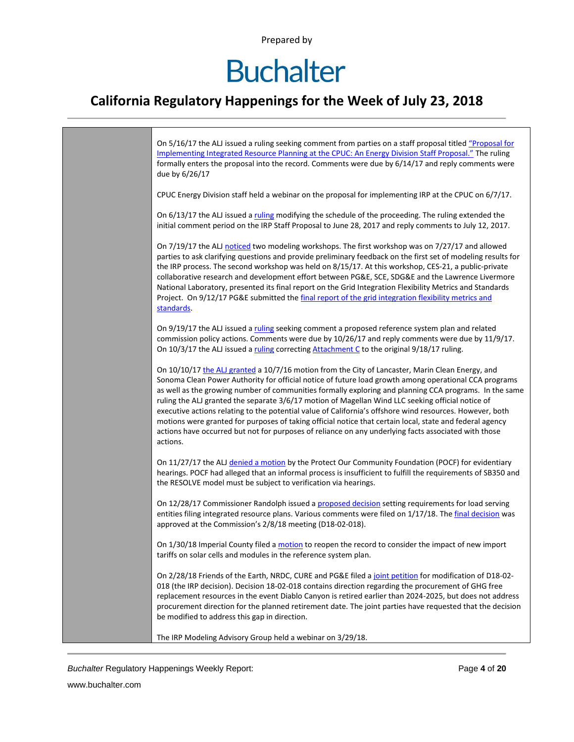## **Buchalter**

### **California Regulatory Happenings for the Week of July 23, 2018**

| On 5/16/17 the ALJ issued a ruling seeking comment from parties on a staff proposal titled "Proposal for<br>Implementing Integrated Resource Planning at the CPUC: An Energy Division Staff Proposal." The ruling<br>formally enters the proposal into the record. Comments were due by 6/14/17 and reply comments were<br>due by 6/26/17                                                                                                                                                                                                                                                                                                                                                                                                                            |
|----------------------------------------------------------------------------------------------------------------------------------------------------------------------------------------------------------------------------------------------------------------------------------------------------------------------------------------------------------------------------------------------------------------------------------------------------------------------------------------------------------------------------------------------------------------------------------------------------------------------------------------------------------------------------------------------------------------------------------------------------------------------|
| CPUC Energy Division staff held a webinar on the proposal for implementing IRP at the CPUC on 6/7/17.                                                                                                                                                                                                                                                                                                                                                                                                                                                                                                                                                                                                                                                                |
| On 6/13/17 the ALJ issued a ruling modifying the schedule of the proceeding. The ruling extended the<br>initial comment period on the IRP Staff Proposal to June 28, 2017 and reply comments to July 12, 2017.                                                                                                                                                                                                                                                                                                                                                                                                                                                                                                                                                       |
| On 7/19/17 the ALJ noticed two modeling workshops. The first workshop was on 7/27/17 and allowed<br>parties to ask clarifying questions and provide preliminary feedback on the first set of modeling results for<br>the IRP process. The second workshop was held on 8/15/17. At this workshop, CES-21, a public-private<br>collaborative research and development effort between PG&E, SCE, SDG&E and the Lawrence Livermore<br>National Laboratory, presented its final report on the Grid Integration Flexibility Metrics and Standards<br>Project. On 9/12/17 PG&E submitted the final report of the grid integration flexibility metrics and<br>standards.                                                                                                     |
| On 9/19/17 the ALJ issued a ruling seeking comment a proposed reference system plan and related<br>commission policy actions. Comments were due by 10/26/17 and reply comments were due by 11/9/17.<br>On 10/3/17 the ALJ issued a ruling correcting Attachment C to the original 9/18/17 ruling.                                                                                                                                                                                                                                                                                                                                                                                                                                                                    |
| On 10/10/17 the ALJ granted a 10/7/16 motion from the City of Lancaster, Marin Clean Energy, and<br>Sonoma Clean Power Authority for official notice of future load growth among operational CCA programs<br>as well as the growing number of communities formally exploring and planning CCA programs. In the same<br>ruling the ALJ granted the separate 3/6/17 motion of Magellan Wind LLC seeking official notice of<br>executive actions relating to the potential value of California's offshore wind resources. However, both<br>motions were granted for purposes of taking official notice that certain local, state and federal agency<br>actions have occurred but not for purposes of reliance on any underlying facts associated with those<br>actions. |
| On 11/27/17 the ALJ denied a motion by the Protect Our Community Foundation (POCF) for evidentiary<br>hearings. POCF had alleged that an informal process is insufficient to fulfill the requirements of SB350 and<br>the RESOLVE model must be subject to verification via hearings.                                                                                                                                                                                                                                                                                                                                                                                                                                                                                |
| On 12/28/17 Commissioner Randolph issued a proposed decision setting requirements for load serving<br>entities filing integrated resource plans. Various comments were filed on 1/17/18. The final decision was<br>approved at the Commission's 2/8/18 meeting (D18-02-018).                                                                                                                                                                                                                                                                                                                                                                                                                                                                                         |
| On 1/30/18 Imperial County filed a motion to reopen the record to consider the impact of new import<br>tariffs on solar cells and modules in the reference system plan.                                                                                                                                                                                                                                                                                                                                                                                                                                                                                                                                                                                              |
| On 2/28/18 Friends of the Earth, NRDC, CURE and PG&E filed a joint petition for modification of D18-02-<br>018 (the IRP decision). Decision 18-02-018 contains direction regarding the procurement of GHG free<br>replacement resources in the event Diablo Canyon is retired earlier than 2024-2025, but does not address<br>procurement direction for the planned retirement date. The joint parties have requested that the decision<br>be modified to address this gap in direction.                                                                                                                                                                                                                                                                             |
| The IRP Modeling Advisory Group held a webinar on 3/29/18.                                                                                                                                                                                                                                                                                                                                                                                                                                                                                                                                                                                                                                                                                                           |

**Buchalter Regulatory Happenings Weekly Report:** Page 4 of 20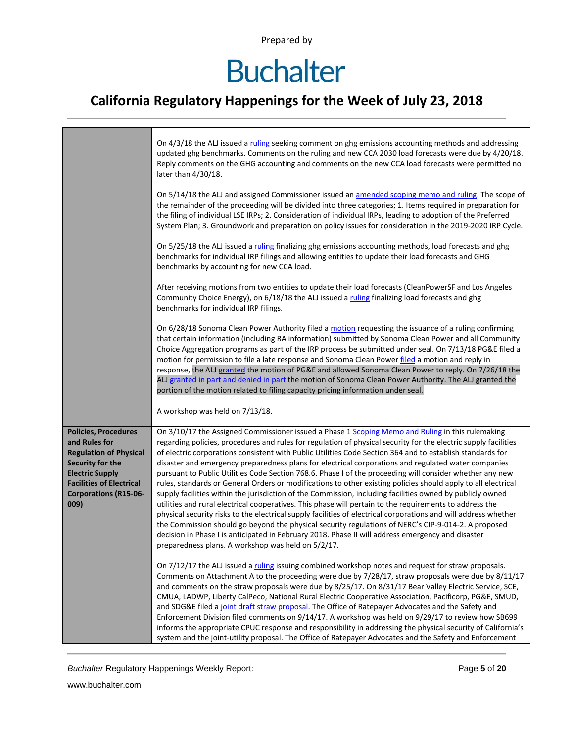### **Buchalter**

### **California Regulatory Happenings for the Week of July 23, 2018**

|                                                                                                                                                                                                        | On 4/3/18 the ALJ issued a ruling seeking comment on ghg emissions accounting methods and addressing<br>updated ghg benchmarks. Comments on the ruling and new CCA 2030 load forecasts were due by 4/20/18.<br>Reply comments on the GHG accounting and comments on the new CCA load forecasts were permitted no<br>later than 4/30/18.                                                                                                                                                                                                                                                                                                                                                                                                                                                                                                                                                                                                                                                                                                                                                                                                                                                                                                                                           |
|--------------------------------------------------------------------------------------------------------------------------------------------------------------------------------------------------------|-----------------------------------------------------------------------------------------------------------------------------------------------------------------------------------------------------------------------------------------------------------------------------------------------------------------------------------------------------------------------------------------------------------------------------------------------------------------------------------------------------------------------------------------------------------------------------------------------------------------------------------------------------------------------------------------------------------------------------------------------------------------------------------------------------------------------------------------------------------------------------------------------------------------------------------------------------------------------------------------------------------------------------------------------------------------------------------------------------------------------------------------------------------------------------------------------------------------------------------------------------------------------------------|
|                                                                                                                                                                                                        | On 5/14/18 the ALJ and assigned Commissioner issued an amended scoping memo and ruling. The scope of<br>the remainder of the proceeding will be divided into three categories; 1. Items required in preparation for<br>the filing of individual LSE IRPs; 2. Consideration of individual IRPs, leading to adoption of the Preferred<br>System Plan; 3. Groundwork and preparation on policy issues for consideration in the 2019-2020 IRP Cycle.                                                                                                                                                                                                                                                                                                                                                                                                                                                                                                                                                                                                                                                                                                                                                                                                                                  |
|                                                                                                                                                                                                        | On 5/25/18 the ALJ issued a ruling finalizing ghg emissions accounting methods, load forecasts and ghg<br>benchmarks for individual IRP filings and allowing entities to update their load forecasts and GHG<br>benchmarks by accounting for new CCA load.                                                                                                                                                                                                                                                                                                                                                                                                                                                                                                                                                                                                                                                                                                                                                                                                                                                                                                                                                                                                                        |
|                                                                                                                                                                                                        | After receiving motions from two entities to update their load forecasts (CleanPowerSF and Los Angeles<br>Community Choice Energy), on 6/18/18 the ALJ issued a ruling finalizing load forecasts and ghg<br>benchmarks for individual IRP filings.                                                                                                                                                                                                                                                                                                                                                                                                                                                                                                                                                                                                                                                                                                                                                                                                                                                                                                                                                                                                                                |
|                                                                                                                                                                                                        | On 6/28/18 Sonoma Clean Power Authority filed a motion requesting the issuance of a ruling confirming<br>that certain information (including RA information) submitted by Sonoma Clean Power and all Community<br>Choice Aggregation programs as part of the IRP process be submitted under seal. On 7/13/18 PG&E filed a<br>motion for permission to file a late response and Sonoma Clean Power filed a motion and reply in<br>response, the ALJ granted the motion of PG&E and allowed Sonoma Clean Power to reply. On 7/26/18 the<br>ALJ granted in part and denied in part the motion of Sonoma Clean Power Authority. The ALJ granted the<br>portion of the motion related to filing capacity pricing information under seal.                                                                                                                                                                                                                                                                                                                                                                                                                                                                                                                                               |
|                                                                                                                                                                                                        | A workshop was held on 7/13/18.                                                                                                                                                                                                                                                                                                                                                                                                                                                                                                                                                                                                                                                                                                                                                                                                                                                                                                                                                                                                                                                                                                                                                                                                                                                   |
| <b>Policies, Procedures</b><br>and Rules for<br><b>Regulation of Physical</b><br>Security for the<br><b>Electric Supply</b><br><b>Facilities of Electrical</b><br><b>Corporations (R15-06-</b><br>009) | On 3/10/17 the Assigned Commissioner issued a Phase 1 Scoping Memo and Ruling in this rulemaking<br>regarding policies, procedures and rules for regulation of physical security for the electric supply facilities<br>of electric corporations consistent with Public Utilities Code Section 364 and to establish standards for<br>disaster and emergency preparedness plans for electrical corporations and regulated water companies<br>pursuant to Public Utilities Code Section 768.6. Phase I of the proceeding will consider whether any new<br>rules, standards or General Orders or modifications to other existing policies should apply to all electrical<br>supply facilities within the jurisdiction of the Commission, including facilities owned by publicly owned<br>utilities and rural electrical cooperatives. This phase will pertain to the requirements to address the<br>physical security risks to the electrical supply facilities of electrical corporations and will address whether<br>the Commission should go beyond the physical security regulations of NERC's CIP-9-014-2. A proposed<br>decision in Phase I is anticipated in February 2018. Phase II will address emergency and disaster<br>preparedness plans. A workshop was held on 5/2/17. |
|                                                                                                                                                                                                        | On 7/12/17 the ALJ issued a ruling issuing combined workshop notes and request for straw proposals.<br>Comments on Attachment A to the proceeding were due by 7/28/17, straw proposals were due by 8/11/17<br>and comments on the straw proposals were due by 8/25/17. On 8/31/17 Bear Valley Electric Service, SCE,<br>CMUA, LADWP, Liberty CalPeco, National Rural Electric Cooperative Association, Pacificorp, PG&E, SMUD,<br>and SDG&E filed a joint draft straw proposal. The Office of Ratepayer Advocates and the Safety and<br>Enforcement Division filed comments on 9/14/17. A workshop was held on 9/29/17 to review how SB699<br>informs the appropriate CPUC response and responsibility in addressing the physical security of California's<br>system and the joint-utility proposal. The Office of Ratepayer Advocates and the Safety and Enforcement                                                                                                                                                                                                                                                                                                                                                                                                             |

**Buchalter Regulatory Happenings Weekly Report:** Page 5 of 20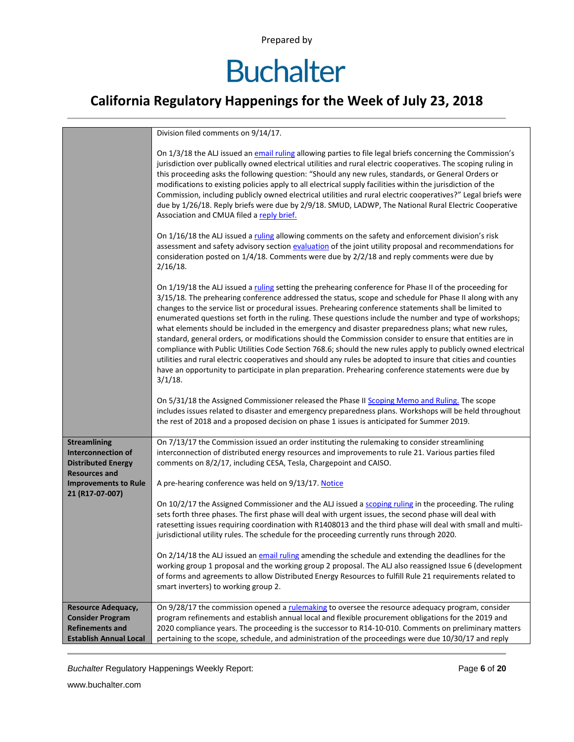# **Buchalter**

### **California Regulatory Happenings for the Week of July 23, 2018**

|                                                                                                                 | Division filed comments on 9/14/17.                                                                                                                                                                                                                                                                                                                                                                                                                                                                                                                                                                                                                                                                                                                                                                                                                                                                                                                                                                             |
|-----------------------------------------------------------------------------------------------------------------|-----------------------------------------------------------------------------------------------------------------------------------------------------------------------------------------------------------------------------------------------------------------------------------------------------------------------------------------------------------------------------------------------------------------------------------------------------------------------------------------------------------------------------------------------------------------------------------------------------------------------------------------------------------------------------------------------------------------------------------------------------------------------------------------------------------------------------------------------------------------------------------------------------------------------------------------------------------------------------------------------------------------|
|                                                                                                                 | On 1/3/18 the ALJ issued an email ruling allowing parties to file legal briefs concerning the Commission's<br>jurisdiction over publically owned electrical utilities and rural electric cooperatives. The scoping ruling in<br>this proceeding asks the following question: "Should any new rules, standards, or General Orders or<br>modifications to existing policies apply to all electrical supply facilities within the jurisdiction of the<br>Commission, including publicly owned electrical utilities and rural electric cooperatives?" Legal briefs were<br>due by 1/26/18. Reply briefs were due by 2/9/18. SMUD, LADWP, The National Rural Electric Cooperative<br>Association and CMUA filed a reply brief.                                                                                                                                                                                                                                                                                       |
|                                                                                                                 | On 1/16/18 the ALJ issued a ruling allowing comments on the safety and enforcement division's risk<br>assessment and safety advisory section evaluation of the joint utility proposal and recommendations for<br>consideration posted on 1/4/18. Comments were due by 2/2/18 and reply comments were due by<br>$2/16/18$ .                                                                                                                                                                                                                                                                                                                                                                                                                                                                                                                                                                                                                                                                                      |
|                                                                                                                 | On 1/19/18 the ALJ issued a ruling setting the prehearing conference for Phase II of the proceeding for<br>3/15/18. The prehearing conference addressed the status, scope and schedule for Phase II along with any<br>changes to the service list or procedural issues. Prehearing conference statements shall be limited to<br>enumerated questions set forth in the ruling. These questions include the number and type of workshops;<br>what elements should be included in the emergency and disaster preparedness plans; what new rules,<br>standard, general orders, or modifications should the Commission consider to ensure that entities are in<br>compliance with Public Utilities Code Section 768.6; should the new rules apply to publicly owned electrical<br>utilities and rural electric cooperatives and should any rules be adopted to insure that cities and counties<br>have an opportunity to participate in plan preparation. Prehearing conference statements were due by<br>$3/1/18$ . |
|                                                                                                                 | On 5/31/18 the Assigned Commissioner released the Phase II Scoping Memo and Ruling. The scope<br>includes issues related to disaster and emergency preparedness plans. Workshops will be held throughout<br>the rest of 2018 and a proposed decision on phase 1 issues is anticipated for Summer 2019.                                                                                                                                                                                                                                                                                                                                                                                                                                                                                                                                                                                                                                                                                                          |
| <b>Streamlining</b><br><b>Interconnection of</b><br><b>Distributed Energy</b><br><b>Resources and</b>           | On 7/13/17 the Commission issued an order instituting the rulemaking to consider streamlining<br>interconnection of distributed energy resources and improvements to rule 21. Various parties filed<br>comments on 8/2/17, including CESA, Tesla, Chargepoint and CAISO.                                                                                                                                                                                                                                                                                                                                                                                                                                                                                                                                                                                                                                                                                                                                        |
| <b>Improvements to Rule</b>                                                                                     | A pre-hearing conference was held on 9/13/17. Notice                                                                                                                                                                                                                                                                                                                                                                                                                                                                                                                                                                                                                                                                                                                                                                                                                                                                                                                                                            |
| 21 (R17-07-007)                                                                                                 | On 10/2/17 the Assigned Commissioner and the ALJ issued a scoping ruling in the proceeding. The ruling<br>sets forth three phases. The first phase will deal with urgent issues, the second phase will deal with<br>ratesetting issues requiring coordination with R1408013 and the third phase will deal with small and multi-<br>jurisdictional utility rules. The schedule for the proceeding currently runs through 2020.                                                                                                                                                                                                                                                                                                                                                                                                                                                                                                                                                                                   |
|                                                                                                                 | On 2/14/18 the ALJ issued an email ruling amending the schedule and extending the deadlines for the<br>working group 1 proposal and the working group 2 proposal. The ALJ also reassigned Issue 6 (development<br>of forms and agreements to allow Distributed Energy Resources to fulfill Rule 21 requirements related to<br>smart inverters) to working group 2.                                                                                                                                                                                                                                                                                                                                                                                                                                                                                                                                                                                                                                              |
| <b>Resource Adequacy,</b><br><b>Consider Program</b><br><b>Refinements and</b><br><b>Establish Annual Local</b> | On 9/28/17 the commission opened a rulemaking to oversee the resource adequacy program, consider<br>program refinements and establish annual local and flexible procurement obligations for the 2019 and<br>2020 compliance years. The proceeding is the successor to R14-10-010. Comments on preliminary matters<br>pertaining to the scope, schedule, and administration of the proceedings were due 10/30/17 and reply                                                                                                                                                                                                                                                                                                                                                                                                                                                                                                                                                                                       |

**Buchalter Regulatory Happenings Weekly Report:** Page 6 of 20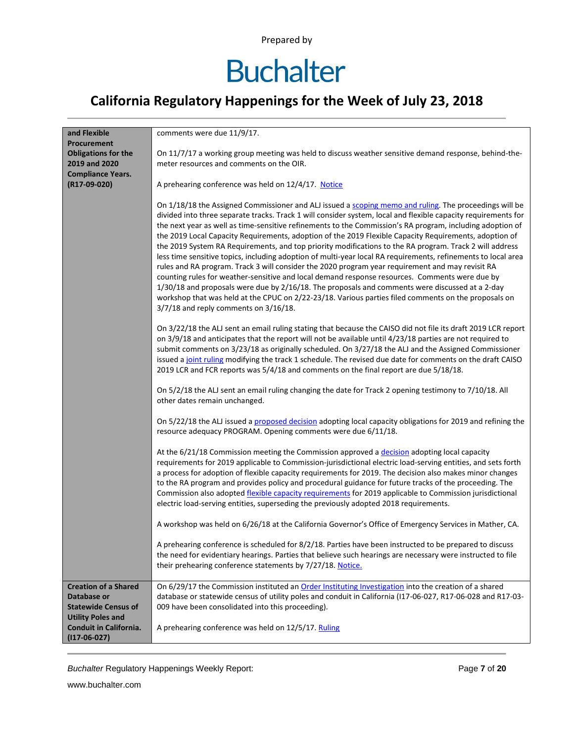### **Buchalter**

### **California Regulatory Happenings for the Week of July 23, 2018**

| and Flexible                             | comments were due 11/9/17.                                                                                                                                                                                                                                                                                                                                                                                                                                                                                                                                                                                                                                                         |
|------------------------------------------|------------------------------------------------------------------------------------------------------------------------------------------------------------------------------------------------------------------------------------------------------------------------------------------------------------------------------------------------------------------------------------------------------------------------------------------------------------------------------------------------------------------------------------------------------------------------------------------------------------------------------------------------------------------------------------|
|                                          |                                                                                                                                                                                                                                                                                                                                                                                                                                                                                                                                                                                                                                                                                    |
| Procurement                              |                                                                                                                                                                                                                                                                                                                                                                                                                                                                                                                                                                                                                                                                                    |
| <b>Obligations for the</b>               | On 11/7/17 a working group meeting was held to discuss weather sensitive demand response, behind-the-                                                                                                                                                                                                                                                                                                                                                                                                                                                                                                                                                                              |
| 2019 and 2020                            | meter resources and comments on the OIR.                                                                                                                                                                                                                                                                                                                                                                                                                                                                                                                                                                                                                                           |
| <b>Compliance Years.</b>                 |                                                                                                                                                                                                                                                                                                                                                                                                                                                                                                                                                                                                                                                                                    |
| (R17-09-020)                             | A prehearing conference was held on 12/4/17. Notice                                                                                                                                                                                                                                                                                                                                                                                                                                                                                                                                                                                                                                |
|                                          | On 1/18/18 the Assigned Commissioner and ALJ issued a scoping memo and ruling. The proceedings will be<br>divided into three separate tracks. Track 1 will consider system, local and flexible capacity requirements for<br>the next year as well as time-sensitive refinements to the Commission's RA program, including adoption of<br>the 2019 Local Capacity Requirements, adoption of the 2019 Flexible Capacity Requirements, adoption of                                                                                                                                                                                                                                    |
|                                          | the 2019 System RA Requirements, and top priority modifications to the RA program. Track 2 will address<br>less time sensitive topics, including adoption of multi-year local RA requirements, refinements to local area<br>rules and RA program. Track 3 will consider the 2020 program year requirement and may revisit RA<br>counting rules for weather-sensitive and local demand response resources. Comments were due by<br>1/30/18 and proposals were due by 2/16/18. The proposals and comments were discussed at a 2-day<br>workshop that was held at the CPUC on 2/22-23/18. Various parties filed comments on the proposals on<br>3/7/18 and reply comments on 3/16/18. |
|                                          | On 3/22/18 the ALJ sent an email ruling stating that because the CAISO did not file its draft 2019 LCR report<br>on 3/9/18 and anticipates that the report will not be available until 4/23/18 parties are not required to<br>submit comments on 3/23/18 as originally scheduled. On 3/27/18 the ALJ and the Assigned Commissioner<br>issued a joint ruling modifying the track 1 schedule. The revised due date for comments on the draft CAISO<br>2019 LCR and FCR reports was 5/4/18 and comments on the final report are due 5/18/18.                                                                                                                                          |
|                                          | On 5/2/18 the ALJ sent an email ruling changing the date for Track 2 opening testimony to 7/10/18. All<br>other dates remain unchanged.                                                                                                                                                                                                                                                                                                                                                                                                                                                                                                                                            |
|                                          | On 5/22/18 the ALJ issued a proposed decision adopting local capacity obligations for 2019 and refining the<br>resource adequacy PROGRAM. Opening comments were due 6/11/18.                                                                                                                                                                                                                                                                                                                                                                                                                                                                                                       |
|                                          | At the 6/21/18 Commission meeting the Commission approved a decision adopting local capacity<br>requirements for 2019 applicable to Commission-jurisdictional electric load-serving entities, and sets forth<br>a process for adoption of flexible capacity requirements for 2019. The decision also makes minor changes<br>to the RA program and provides policy and procedural guidance for future tracks of the proceeding. The<br>Commission also adopted flexible capacity requirements for 2019 applicable to Commission jurisdictional<br>electric load-serving entities, superseding the previously adopted 2018 requirements.                                             |
|                                          | A workshop was held on 6/26/18 at the California Governor's Office of Emergency Services in Mather, CA.                                                                                                                                                                                                                                                                                                                                                                                                                                                                                                                                                                            |
|                                          | A prehearing conference is scheduled for 8/2/18. Parties have been instructed to be prepared to discuss                                                                                                                                                                                                                                                                                                                                                                                                                                                                                                                                                                            |
|                                          | the need for evidentiary hearings. Parties that believe such hearings are necessary were instructed to file                                                                                                                                                                                                                                                                                                                                                                                                                                                                                                                                                                        |
|                                          | their prehearing conference statements by 7/27/18. Notice.                                                                                                                                                                                                                                                                                                                                                                                                                                                                                                                                                                                                                         |
|                                          |                                                                                                                                                                                                                                                                                                                                                                                                                                                                                                                                                                                                                                                                                    |
| <b>Creation of a Shared</b>              | On 6/29/17 the Commission instituted an Order Instituting Investigation into the creation of a shared                                                                                                                                                                                                                                                                                                                                                                                                                                                                                                                                                                              |
| Database or                              | database or statewide census of utility poles and conduit in California (117-06-027, R17-06-028 and R17-03-                                                                                                                                                                                                                                                                                                                                                                                                                                                                                                                                                                        |
| <b>Statewide Census of</b>               | 009 have been consolidated into this proceeding).                                                                                                                                                                                                                                                                                                                                                                                                                                                                                                                                                                                                                                  |
| <b>Utility Poles and</b>                 |                                                                                                                                                                                                                                                                                                                                                                                                                                                                                                                                                                                                                                                                                    |
| Conduit in California.<br>$(117-06-027)$ | A prehearing conference was held on 12/5/17. Ruling                                                                                                                                                                                                                                                                                                                                                                                                                                                                                                                                                                                                                                |

**Buchalter Regulatory Happenings Weekly Report:** Page 7 of 20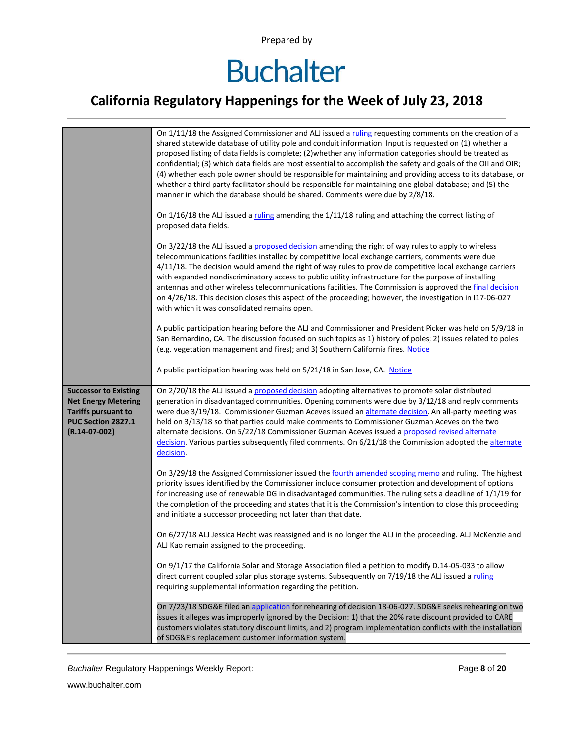### **California Regulatory Happenings for the Week of July 23, 2018**

|                                                                                                   | On 1/11/18 the Assigned Commissioner and ALJ issued a ruling requesting comments on the creation of a<br>shared statewide database of utility pole and conduit information. Input is requested on (1) whether a<br>proposed listing of data fields is complete; (2) whether any information categories should be treated as<br>confidential; (3) which data fields are most essential to accomplish the safety and goals of the OII and OIR;<br>(4) whether each pole owner should be responsible for maintaining and providing access to its database, or<br>whether a third party facilitator should be responsible for maintaining one global database; and (5) the<br>manner in which the database should be shared. Comments were due by 2/8/18.<br>On 1/16/18 the ALJ issued a ruling amending the 1/11/18 ruling and attaching the correct listing of<br>proposed data fields.<br>On 3/22/18 the ALJ issued a proposed decision amending the right of way rules to apply to wireless<br>telecommunications facilities installed by competitive local exchange carriers, comments were due<br>4/11/18. The decision would amend the right of way rules to provide competitive local exchange carriers<br>with expanded nondiscriminatory access to public utility infrastructure for the purpose of installing<br>antennas and other wireless telecommunications facilities. The Commission is approved the final decision<br>on 4/26/18. This decision closes this aspect of the proceeding; however, the investigation in I17-06-027 |
|---------------------------------------------------------------------------------------------------|----------------------------------------------------------------------------------------------------------------------------------------------------------------------------------------------------------------------------------------------------------------------------------------------------------------------------------------------------------------------------------------------------------------------------------------------------------------------------------------------------------------------------------------------------------------------------------------------------------------------------------------------------------------------------------------------------------------------------------------------------------------------------------------------------------------------------------------------------------------------------------------------------------------------------------------------------------------------------------------------------------------------------------------------------------------------------------------------------------------------------------------------------------------------------------------------------------------------------------------------------------------------------------------------------------------------------------------------------------------------------------------------------------------------------------------------------------------------------------------------------------------------------------------------|
| <b>Successor to Existing</b>                                                                      | with which it was consolidated remains open.<br>A public participation hearing before the ALJ and Commissioner and President Picker was held on 5/9/18 in<br>San Bernardino, CA. The discussion focused on such topics as 1) history of poles; 2) issues related to poles<br>(e.g. vegetation management and fires); and 3) Southern California fires. Notice<br>A public participation hearing was held on 5/21/18 in San Jose, CA. Notice<br>On 2/20/18 the ALJ issued a proposed decision adopting alternatives to promote solar distributed                                                                                                                                                                                                                                                                                                                                                                                                                                                                                                                                                                                                                                                                                                                                                                                                                                                                                                                                                                                              |
| <b>Net Energy Metering</b><br><b>Tariffs pursuant to</b><br>PUC Section 2827.1<br>$(R.14-07-002)$ | generation in disadvantaged communities. Opening comments were due by 3/12/18 and reply comments<br>were due 3/19/18. Commissioner Guzman Aceves issued an alternate decision. An all-party meeting was<br>held on 3/13/18 so that parties could make comments to Commissioner Guzman Aceves on the two<br>alternate decisions. On 5/22/18 Commissioner Guzman Aceves issued a proposed revised alternate<br>decision. Various parties subsequently filed comments. On 6/21/18 the Commission adopted the alternate<br>decision.                                                                                                                                                                                                                                                                                                                                                                                                                                                                                                                                                                                                                                                                                                                                                                                                                                                                                                                                                                                                             |
|                                                                                                   | On 3/29/18 the Assigned Commissioner issued the fourth amended scoping memo and ruling. The highest<br>priority issues identified by the Commissioner include consumer protection and development of options<br>for increasing use of renewable DG in disadvantaged communities. The ruling sets a deadline of 1/1/19 for<br>the completion of the proceeding and states that it is the Commission's intention to close this proceeding<br>and initiate a successor proceeding not later than that date.                                                                                                                                                                                                                                                                                                                                                                                                                                                                                                                                                                                                                                                                                                                                                                                                                                                                                                                                                                                                                                     |
|                                                                                                   | On 6/27/18 ALJ Jessica Hecht was reassigned and is no longer the ALJ in the proceeding. ALJ McKenzie and<br>ALJ Kao remain assigned to the proceeding.                                                                                                                                                                                                                                                                                                                                                                                                                                                                                                                                                                                                                                                                                                                                                                                                                                                                                                                                                                                                                                                                                                                                                                                                                                                                                                                                                                                       |
|                                                                                                   | On 9/1/17 the California Solar and Storage Association filed a petition to modify D.14-05-033 to allow<br>direct current coupled solar plus storage systems. Subsequently on 7/19/18 the ALJ issued a ruling<br>requiring supplemental information regarding the petition.                                                                                                                                                                                                                                                                                                                                                                                                                                                                                                                                                                                                                                                                                                                                                                                                                                                                                                                                                                                                                                                                                                                                                                                                                                                                   |
|                                                                                                   | On 7/23/18 SDG&E filed an application for rehearing of decision 18-06-027. SDG&E seeks rehearing on two<br>issues it alleges was improperly ignored by the Decision: 1) that the 20% rate discount provided to CARE<br>customers violates statutory discount limits, and 2) program implementation conflicts with the installation<br>of SDG&E's replacement customer information system.                                                                                                                                                                                                                                                                                                                                                                                                                                                                                                                                                                                                                                                                                                                                                                                                                                                                                                                                                                                                                                                                                                                                                    |

**Buchalter Regulatory Happenings Weekly Report:** Page 8 of 20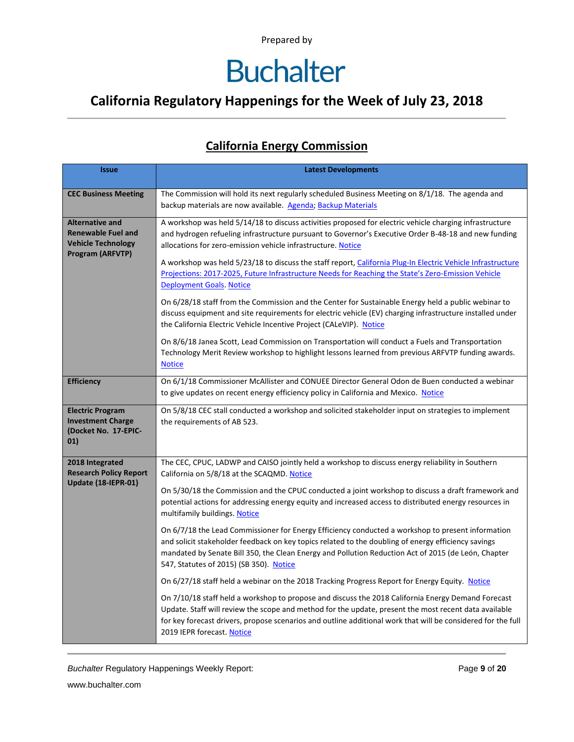### **California Regulatory Happenings for the Week of July 23, 2018**

#### **California Energy Commission**

| <b>Issue</b>                                                                                         | <b>Latest Developments</b>                                                                                                                                                                                                                                                                                                                                                                     |
|------------------------------------------------------------------------------------------------------|------------------------------------------------------------------------------------------------------------------------------------------------------------------------------------------------------------------------------------------------------------------------------------------------------------------------------------------------------------------------------------------------|
| <b>CEC Business Meeting</b>                                                                          | The Commission will hold its next regularly scheduled Business Meeting on 8/1/18. The agenda and<br>backup materials are now available. Agenda; Backup Materials                                                                                                                                                                                                                               |
| <b>Alternative and</b><br><b>Renewable Fuel and</b><br><b>Vehicle Technology</b><br>Program (ARFVTP) | A workshop was held 5/14/18 to discuss activities proposed for electric vehicle charging infrastructure<br>and hydrogen refueling infrastructure pursuant to Governor's Executive Order B-48-18 and new funding<br>allocations for zero-emission vehicle infrastructure. Notice<br>A workshop was held 5/23/18 to discuss the staff report, California Plug-In Electric Vehicle Infrastructure |
|                                                                                                      | Projections: 2017-2025, Future Infrastructure Needs for Reaching the State's Zero-Emission Vehicle<br><b>Deployment Goals. Notice</b>                                                                                                                                                                                                                                                          |
|                                                                                                      | On 6/28/18 staff from the Commission and the Center for Sustainable Energy held a public webinar to<br>discuss equipment and site requirements for electric vehicle (EV) charging infrastructure installed under<br>the California Electric Vehicle Incentive Project (CALeVIP). Notice                                                                                                        |
|                                                                                                      | On 8/6/18 Janea Scott, Lead Commission on Transportation will conduct a Fuels and Transportation<br>Technology Merit Review workshop to highlight lessons learned from previous ARFVTP funding awards.<br><b>Notice</b>                                                                                                                                                                        |
| <b>Efficiency</b>                                                                                    | On 6/1/18 Commissioner McAllister and CONUEE Director General Odon de Buen conducted a webinar<br>to give updates on recent energy efficiency policy in California and Mexico. Notice                                                                                                                                                                                                          |
| <b>Electric Program</b><br><b>Investment Charge</b><br>(Docket No. 17-EPIC-<br>01)                   | On 5/8/18 CEC stall conducted a workshop and solicited stakeholder input on strategies to implement<br>the requirements of AB 523.                                                                                                                                                                                                                                                             |
| 2018 Integrated<br><b>Research Policy Report</b>                                                     | The CEC, CPUC, LADWP and CAISO jointly held a workshop to discuss energy reliability in Southern<br>California on 5/8/18 at the SCAQMD. Notice                                                                                                                                                                                                                                                 |
| Update (18-IEPR-01)                                                                                  | On 5/30/18 the Commission and the CPUC conducted a joint workshop to discuss a draft framework and<br>potential actions for addressing energy equity and increased access to distributed energy resources in<br>multifamily buildings. Notice                                                                                                                                                  |
|                                                                                                      | On 6/7/18 the Lead Commissioner for Energy Efficiency conducted a workshop to present information<br>and solicit stakeholder feedback on key topics related to the doubling of energy efficiency savings<br>mandated by Senate Bill 350, the Clean Energy and Pollution Reduction Act of 2015 (de León, Chapter<br>547, Statutes of 2015) (SB 350). Notice                                     |
|                                                                                                      | On 6/27/18 staff held a webinar on the 2018 Tracking Progress Report for Energy Equity. Notice                                                                                                                                                                                                                                                                                                 |
|                                                                                                      | On 7/10/18 staff held a workshop to propose and discuss the 2018 California Energy Demand Forecast<br>Update. Staff will review the scope and method for the update, present the most recent data available<br>for key forecast drivers, propose scenarios and outline additional work that will be considered for the full<br>2019 IEPR forecast. Notice                                      |

**Buchalter Regulatory Happenings Weekly Report:** Page 9 of 20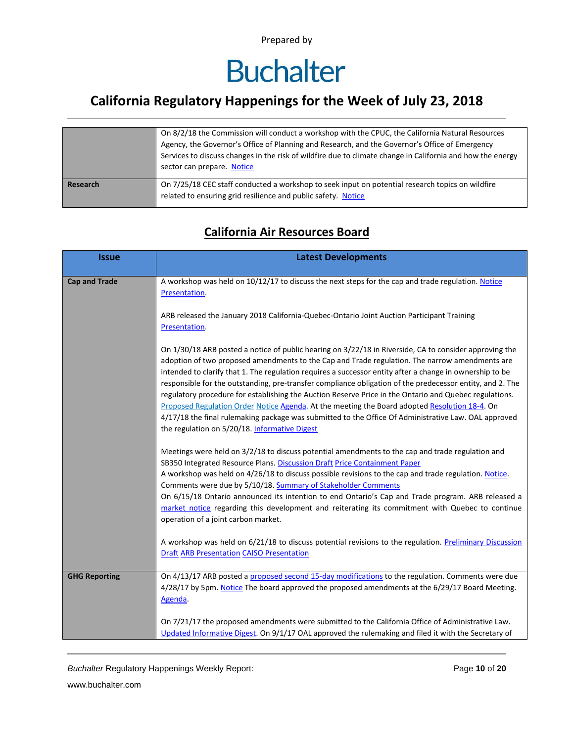# **Buchalter**

### **California Regulatory Happenings for the Week of July 23, 2018**

|          | On 8/2/18 the Commission will conduct a workshop with the CPUC, the California Natural Resources           |
|----------|------------------------------------------------------------------------------------------------------------|
|          | Agency, the Governor's Office of Planning and Research, and the Governor's Office of Emergency             |
|          | Services to discuss changes in the risk of wildfire due to climate change in California and how the energy |
|          | sector can prepare. Notice                                                                                 |
|          |                                                                                                            |
| Research | On 7/25/18 CEC staff conducted a workshop to seek input on potential research topics on wildfire           |
|          | related to ensuring grid resilience and public safety. Notice                                              |
|          |                                                                                                            |

#### **California Air Resources Board**

| <b>Issue</b>         | <b>Latest Developments</b>                                                                                                                                                                                                                                                                                                                                                                                                                                                                                                                                                                                                                                                                                                                                                                            |
|----------------------|-------------------------------------------------------------------------------------------------------------------------------------------------------------------------------------------------------------------------------------------------------------------------------------------------------------------------------------------------------------------------------------------------------------------------------------------------------------------------------------------------------------------------------------------------------------------------------------------------------------------------------------------------------------------------------------------------------------------------------------------------------------------------------------------------------|
| <b>Cap and Trade</b> | A workshop was held on 10/12/17 to discuss the next steps for the cap and trade regulation. Notice<br>Presentation.                                                                                                                                                                                                                                                                                                                                                                                                                                                                                                                                                                                                                                                                                   |
|                      | ARB released the January 2018 California-Quebec-Ontario Joint Auction Participant Training<br>Presentation.                                                                                                                                                                                                                                                                                                                                                                                                                                                                                                                                                                                                                                                                                           |
|                      | On 1/30/18 ARB posted a notice of public hearing on 3/22/18 in Riverside, CA to consider approving the<br>adoption of two proposed amendments to the Cap and Trade regulation. The narrow amendments are<br>intended to clarify that 1. The regulation requires a successor entity after a change in ownership to be<br>responsible for the outstanding, pre-transfer compliance obligation of the predecessor entity, and 2. The<br>regulatory procedure for establishing the Auction Reserve Price in the Ontario and Quebec regulations.<br>Proposed Regulation Order Notice Agenda. At the meeting the Board adopted Resolution 18-4. On<br>4/17/18 the final rulemaking package was submitted to the Office Of Administrative Law. OAL approved<br>the regulation on 5/20/18. Informative Digest |
|                      | Meetings were held on 3/2/18 to discuss potential amendments to the cap and trade regulation and<br>SB350 Integrated Resource Plans. Discussion Draft Price Containment Paper<br>A workshop was held on 4/26/18 to discuss possible revisions to the cap and trade regulation. Notice.<br>Comments were due by 5/10/18. Summary of Stakeholder Comments<br>On 6/15/18 Ontario announced its intention to end Ontario's Cap and Trade program. ARB released a<br>market notice regarding this development and reiterating its commitment with Quebec to continue<br>operation of a joint carbon market.                                                                                                                                                                                                |
|                      | A workshop was held on 6/21/18 to discuss potential revisions to the regulation. Preliminary Discussion<br><b>Draft ARB Presentation CAISO Presentation</b>                                                                                                                                                                                                                                                                                                                                                                                                                                                                                                                                                                                                                                           |
| <b>GHG Reporting</b> | On 4/13/17 ARB posted a proposed second 15-day modifications to the regulation. Comments were due<br>4/28/17 by 5pm. Notice The board approved the proposed amendments at the 6/29/17 Board Meeting.<br>Agenda.                                                                                                                                                                                                                                                                                                                                                                                                                                                                                                                                                                                       |
|                      | On 7/21/17 the proposed amendments were submitted to the California Office of Administrative Law.<br>Updated Informative Digest. On 9/1/17 OAL approved the rulemaking and filed it with the Secretary of                                                                                                                                                                                                                                                                                                                                                                                                                                                                                                                                                                                             |

*Buchalter* Regulatory Happenings Weekly Report: Page **10** of **20**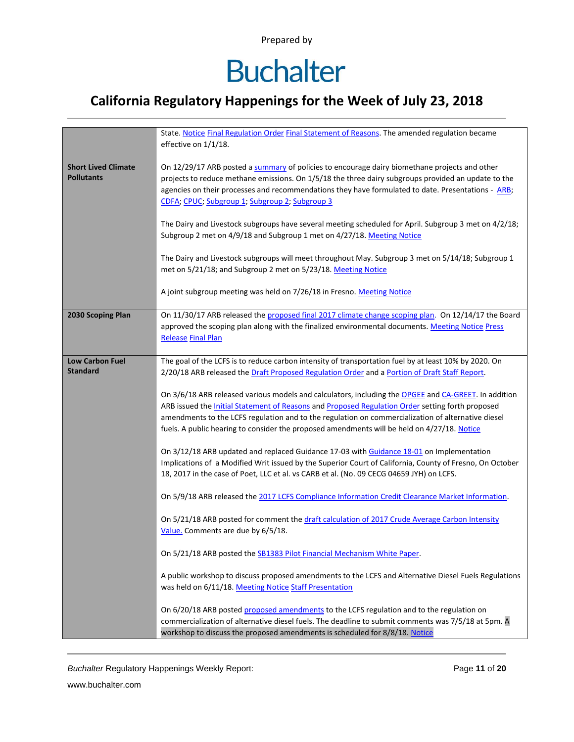### **California Regulatory Happenings for the Week of July 23, 2018**

|                            | State. Notice Final Regulation Order Final Statement of Reasons. The amended regulation became           |
|----------------------------|----------------------------------------------------------------------------------------------------------|
|                            | effective on 1/1/18.                                                                                     |
|                            |                                                                                                          |
| <b>Short Lived Climate</b> | On 12/29/17 ARB posted a summary of policies to encourage dairy biomethane projects and other            |
| <b>Pollutants</b>          |                                                                                                          |
|                            | projects to reduce methane emissions. On 1/5/18 the three dairy subgroups provided an update to the      |
|                            | agencies on their processes and recommendations they have formulated to date. Presentations - ARB;       |
|                            | CDFA; CPUC; Subgroup 1; Subgroup 2; Subgroup 3                                                           |
|                            |                                                                                                          |
|                            | The Dairy and Livestock subgroups have several meeting scheduled for April. Subgroup 3 met on 4/2/18;    |
|                            | Subgroup 2 met on 4/9/18 and Subgroup 1 met on 4/27/18. Meeting Notice                                   |
|                            |                                                                                                          |
|                            | The Dairy and Livestock subgroups will meet throughout May. Subgroup 3 met on 5/14/18; Subgroup 1        |
|                            | met on 5/21/18; and Subgroup 2 met on 5/23/18. Meeting Notice                                            |
|                            |                                                                                                          |
|                            | A joint subgroup meeting was held on 7/26/18 in Fresno. Meeting Notice                                   |
|                            |                                                                                                          |
| 2030 Scoping Plan          | On 11/30/17 ARB released the proposed final 2017 climate change scoping plan. On 12/14/17 the Board      |
|                            | approved the scoping plan along with the finalized environmental documents. Meeting Notice Press         |
|                            | <b>Release Final Plan</b>                                                                                |
|                            |                                                                                                          |
| <b>Low Carbon Fuel</b>     | The goal of the LCFS is to reduce carbon intensity of transportation fuel by at least 10% by 2020. On    |
| <b>Standard</b>            | 2/20/18 ARB released the Draft Proposed Regulation Order and a Portion of Draft Staff Report.            |
|                            |                                                                                                          |
|                            | On 3/6/18 ARB released various models and calculators, including the OPGEE and CA-GREET. In addition     |
|                            | ARB issued the Initial Statement of Reasons and Proposed Regulation Order setting forth proposed         |
|                            | amendments to the LCFS regulation and to the regulation on commercialization of alternative diesel       |
|                            |                                                                                                          |
|                            | fuels. A public hearing to consider the proposed amendments will be held on 4/27/18. Notice              |
|                            |                                                                                                          |
|                            | On 3/12/18 ARB updated and replaced Guidance 17-03 with Guidance 18-01 on Implementation                 |
|                            | Implications of a Modified Writ issued by the Superior Court of California, County of Fresno, On October |
|                            | 18, 2017 in the case of Poet, LLC et al. vs CARB et al. (No. 09 CECG 04659 JYH) on LCFS.                 |
|                            |                                                                                                          |
|                            | On 5/9/18 ARB released the 2017 LCFS Compliance Information Credit Clearance Market Information.         |
|                            |                                                                                                          |
|                            | On 5/21/18 ARB posted for comment the draft calculation of 2017 Crude Average Carbon Intensity           |
|                            | Value. Comments are due by 6/5/18.                                                                       |
|                            |                                                                                                          |
|                            | On 5/21/18 ARB posted the SB1383 Pilot Financial Mechanism White Paper.                                  |
|                            |                                                                                                          |
|                            | A public workshop to discuss proposed amendments to the LCFS and Alternative Diesel Fuels Regulations    |
|                            | was held on 6/11/18. Meeting Notice Staff Presentation                                                   |
|                            |                                                                                                          |
|                            | On 6/20/18 ARB posted proposed amendments to the LCFS regulation and to the regulation on                |
|                            | commercialization of alternative diesel fuels. The deadline to submit comments was 7/5/18 at 5pm. A      |
|                            | workshop to discuss the proposed amendments is scheduled for 8/8/18. Notice                              |

*Buchalter* Regulatory Happenings Weekly Report: Page **11** of **20**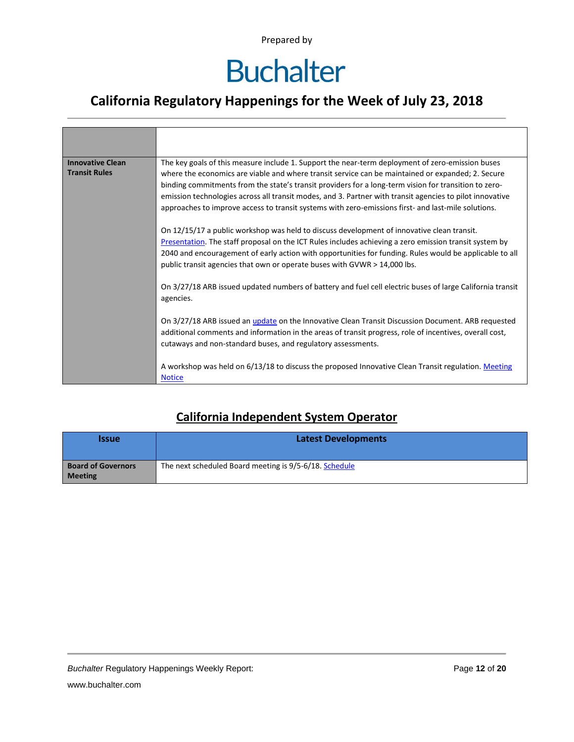### **California Regulatory Happenings for the Week of July 23, 2018**

| <b>Innovative Clean</b><br><b>Transit Rules</b> | The key goals of this measure include 1. Support the near-term deployment of zero-emission buses<br>where the economics are viable and where transit service can be maintained or expanded; 2. Secure<br>binding commitments from the state's transit providers for a long-term vision for transition to zero-<br>emission technologies across all transit modes, and 3. Partner with transit agencies to pilot innovative<br>approaches to improve access to transit systems with zero-emissions first- and last-mile solutions. |
|-------------------------------------------------|-----------------------------------------------------------------------------------------------------------------------------------------------------------------------------------------------------------------------------------------------------------------------------------------------------------------------------------------------------------------------------------------------------------------------------------------------------------------------------------------------------------------------------------|
|                                                 | On 12/15/17 a public workshop was held to discuss development of innovative clean transit.<br>Presentation. The staff proposal on the ICT Rules includes achieving a zero emission transit system by<br>2040 and encouragement of early action with opportunities for funding. Rules would be applicable to all<br>public transit agencies that own or operate buses with GVWR > 14,000 lbs.                                                                                                                                      |
|                                                 | On 3/27/18 ARB issued updated numbers of battery and fuel cell electric buses of large California transit<br>agencies.                                                                                                                                                                                                                                                                                                                                                                                                            |
|                                                 | On 3/27/18 ARB issued an <i>update</i> on the Innovative Clean Transit Discussion Document. ARB requested<br>additional comments and information in the areas of transit progress, role of incentives, overall cost,<br>cutaways and non-standard buses, and regulatory assessments.                                                                                                                                                                                                                                              |
|                                                 | A workshop was held on 6/13/18 to discuss the proposed Innovative Clean Transit regulation. Meeting<br><b>Notice</b>                                                                                                                                                                                                                                                                                                                                                                                                              |

#### **California Independent System Operator**

| <b>Issue</b>                                | <b>Latest Developments</b>                             |  |  |  |
|---------------------------------------------|--------------------------------------------------------|--|--|--|
| <b>Board of Governors</b><br><b>Meeting</b> | The next scheduled Board meeting is 9/5-6/18. Schedule |  |  |  |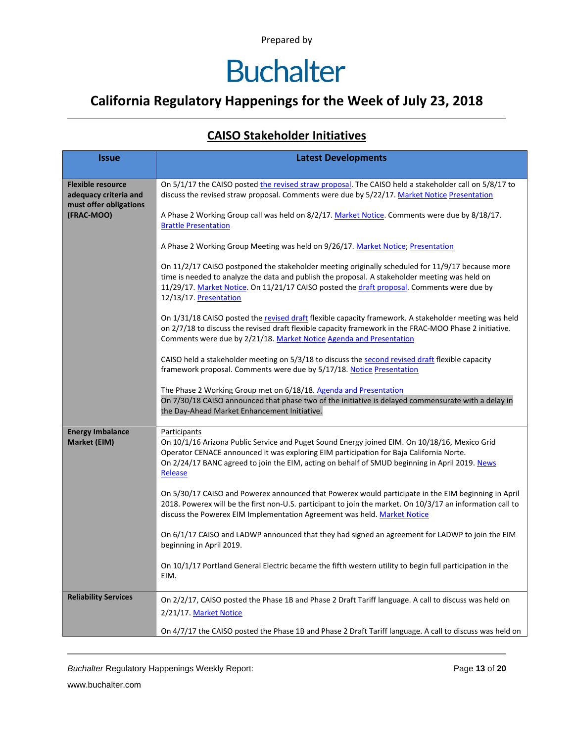### **California Regulatory Happenings for the Week of July 23, 2018**

#### **CAISO Stakeholder Initiatives**

| <b>Issue</b>                                                                | <b>Latest Developments</b>                                                                                                                                                                                                                                                                                                 |  |  |  |  |
|-----------------------------------------------------------------------------|----------------------------------------------------------------------------------------------------------------------------------------------------------------------------------------------------------------------------------------------------------------------------------------------------------------------------|--|--|--|--|
|                                                                             |                                                                                                                                                                                                                                                                                                                            |  |  |  |  |
| <b>Flexible resource</b><br>adequacy criteria and<br>must offer obligations | On 5/1/17 the CAISO posted the revised straw proposal. The CAISO held a stakeholder call on 5/8/17 to<br>discuss the revised straw proposal. Comments were due by 5/22/17. Market Notice Presentation                                                                                                                      |  |  |  |  |
| (FRAC-MOO)                                                                  | A Phase 2 Working Group call was held on 8/2/17. Market Notice. Comments were due by 8/18/17.<br><b>Brattle Presentation</b>                                                                                                                                                                                               |  |  |  |  |
|                                                                             | A Phase 2 Working Group Meeting was held on 9/26/17. Market Notice; Presentation                                                                                                                                                                                                                                           |  |  |  |  |
|                                                                             | On 11/2/17 CAISO postponed the stakeholder meeting originally scheduled for 11/9/17 because more<br>time is needed to analyze the data and publish the proposal. A stakeholder meeting was held on<br>11/29/17. Market Notice. On 11/21/17 CAISO posted the draft proposal. Comments were due by<br>12/13/17. Presentation |  |  |  |  |
|                                                                             | On 1/31/18 CAISO posted the revised draft flexible capacity framework. A stakeholder meeting was held<br>on 2/7/18 to discuss the revised draft flexible capacity framework in the FRAC-MOO Phase 2 initiative.<br>Comments were due by 2/21/18. Market Notice Agenda and Presentation                                     |  |  |  |  |
|                                                                             | CAISO held a stakeholder meeting on 5/3/18 to discuss the second revised draft flexible capacity<br>framework proposal. Comments were due by 5/17/18. Notice Presentation                                                                                                                                                  |  |  |  |  |
|                                                                             | The Phase 2 Working Group met on 6/18/18. Agenda and Presentation<br>On 7/30/18 CAISO announced that phase two of the initiative is delayed commensurate with a delay in<br>the Day-Ahead Market Enhancement Initiative.                                                                                                   |  |  |  |  |
| <b>Energy Imbalance</b><br>Market (EIM)                                     | Participants<br>On 10/1/16 Arizona Public Service and Puget Sound Energy joined EIM. On 10/18/16, Mexico Grid<br>Operator CENACE announced it was exploring EIM participation for Baja California Norte.<br>On 2/24/17 BANC agreed to join the EIM, acting on behalf of SMUD beginning in April 2019. News<br>Release      |  |  |  |  |
|                                                                             | On 5/30/17 CAISO and Powerex announced that Powerex would participate in the EIM beginning in April<br>2018. Powerex will be the first non-U.S. participant to join the market. On 10/3/17 an information call to<br>discuss the Powerex EIM Implementation Agreement was held. Market Notice                              |  |  |  |  |
|                                                                             | On 6/1/17 CAISO and LADWP announced that they had signed an agreement for LADWP to join the EIM<br>beginning in April 2019.                                                                                                                                                                                                |  |  |  |  |
|                                                                             | On 10/1/17 Portland General Electric became the fifth western utility to begin full participation in the<br>EIM.                                                                                                                                                                                                           |  |  |  |  |
| <b>Reliability Services</b>                                                 | On 2/2/17, CAISO posted the Phase 1B and Phase 2 Draft Tariff language. A call to discuss was held on<br>2/21/17. Market Notice                                                                                                                                                                                            |  |  |  |  |
|                                                                             | On 4/7/17 the CAISO posted the Phase 1B and Phase 2 Draft Tariff language. A call to discuss was held on                                                                                                                                                                                                                   |  |  |  |  |

*Buchalter* Regulatory Happenings Weekly Report: Page **13** of **20**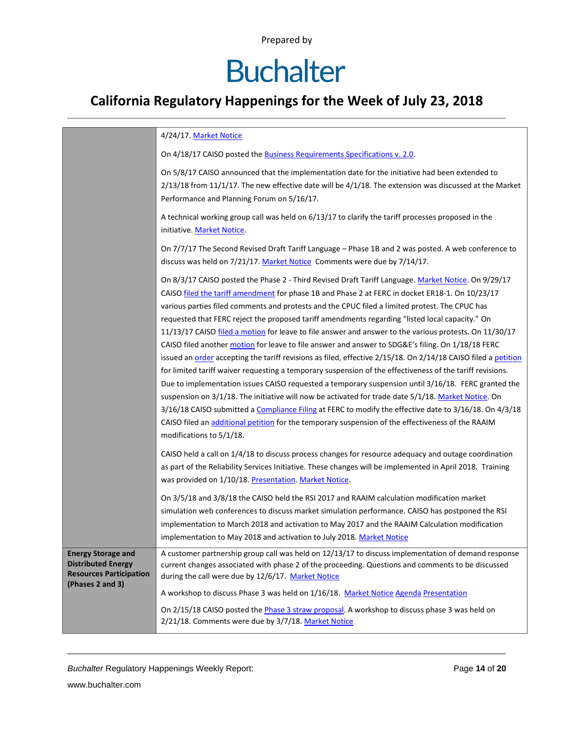# **Buchalter**

### **California Regulatory Happenings for the Week of July 23, 2018**

|                                                                                                              | 4/24/17. Market Notice                                                                                                                                                                                                                                                                                                                                                                                                                                                                                                                                                                                                                                                                                                                                                                                                                                                                                                                                                                                                                                                                                                                                                                                                                                                                                            |
|--------------------------------------------------------------------------------------------------------------|-------------------------------------------------------------------------------------------------------------------------------------------------------------------------------------------------------------------------------------------------------------------------------------------------------------------------------------------------------------------------------------------------------------------------------------------------------------------------------------------------------------------------------------------------------------------------------------------------------------------------------------------------------------------------------------------------------------------------------------------------------------------------------------------------------------------------------------------------------------------------------------------------------------------------------------------------------------------------------------------------------------------------------------------------------------------------------------------------------------------------------------------------------------------------------------------------------------------------------------------------------------------------------------------------------------------|
|                                                                                                              | On 4/18/17 CAISO posted the <b>Business Requirements Specifications v. 2.0</b> .                                                                                                                                                                                                                                                                                                                                                                                                                                                                                                                                                                                                                                                                                                                                                                                                                                                                                                                                                                                                                                                                                                                                                                                                                                  |
|                                                                                                              | On 5/8/17 CAISO announced that the implementation date for the initiative had been extended to<br>$2/13/18$ from 11/1/17. The new effective date will be $4/1/18$ . The extension was discussed at the Market<br>Performance and Planning Forum on 5/16/17.                                                                                                                                                                                                                                                                                                                                                                                                                                                                                                                                                                                                                                                                                                                                                                                                                                                                                                                                                                                                                                                       |
|                                                                                                              | A technical working group call was held on 6/13/17 to clarify the tariff processes proposed in the<br>initiative. Market Notice.                                                                                                                                                                                                                                                                                                                                                                                                                                                                                                                                                                                                                                                                                                                                                                                                                                                                                                                                                                                                                                                                                                                                                                                  |
|                                                                                                              | On 7/7/17 The Second Revised Draft Tariff Language - Phase 1B and 2 was posted. A web conference to<br>discuss was held on 7/21/17. Market Notice Comments were due by 7/14/17.                                                                                                                                                                                                                                                                                                                                                                                                                                                                                                                                                                                                                                                                                                                                                                                                                                                                                                                                                                                                                                                                                                                                   |
|                                                                                                              | On 8/3/17 CAISO posted the Phase 2 - Third Revised Draft Tariff Language. Market Notice. On 9/29/17<br>CAISO filed the tariff amendment for phase 1B and Phase 2 at FERC in docket ER18-1. On 10/23/17<br>various parties filed comments and protests and the CPUC filed a limited protest. The CPUC has<br>requested that FERC reject the proposed tariff amendments regarding "listed local capacity." On<br>11/13/17 CAISO filed a motion for leave to file answer and answer to the various protests. On 11/30/17<br>CAISO filed another motion for leave to file answer and answer to SDG&E's filing. On 1/18/18 FERC<br>issued an order accepting the tariff revisions as filed, effective 2/15/18. On 2/14/18 CAISO filed a petition<br>for limited tariff waiver requesting a temporary suspension of the effectiveness of the tariff revisions.<br>Due to implementation issues CAISO requested a temporary suspension until 3/16/18. FERC granted the<br>suspension on 3/1/18. The initiative will now be activated for trade date 5/1/18. Market Notice. On<br>3/16/18 CAISO submitted a Compliance Filing at FERC to modify the effective date to 3/16/18. On 4/3/18<br>CAISO filed an additional petition for the temporary suspension of the effectiveness of the RAAIM<br>modifications to 5/1/18. |
|                                                                                                              | CAISO held a call on 1/4/18 to discuss process changes for resource adequacy and outage coordination<br>as part of the Reliability Services Initiative. These changes will be implemented in April 2018. Training<br>was provided on 1/10/18. Presentation. Market Notice.                                                                                                                                                                                                                                                                                                                                                                                                                                                                                                                                                                                                                                                                                                                                                                                                                                                                                                                                                                                                                                        |
|                                                                                                              | On 3/5/18 and 3/8/18 the CAISO held the RSI 2017 and RAAIM calculation modification market<br>simulation web conferences to discuss market simulation performance. CAISO has postponed the RSI<br>implementation to March 2018 and activation to May 2017 and the RAAIM Calculation modification<br>implementation to May 2018 and activation to July 2018. Market Notice                                                                                                                                                                                                                                                                                                                                                                                                                                                                                                                                                                                                                                                                                                                                                                                                                                                                                                                                         |
| <b>Energy Storage and</b><br><b>Distributed Energy</b><br><b>Resources Participation</b><br>(Phases 2 and 3) | A customer partnership group call was held on 12/13/17 to discuss implementation of demand response<br>current changes associated with phase 2 of the proceeding. Questions and comments to be discussed<br>during the call were due by 12/6/17. Market Notice                                                                                                                                                                                                                                                                                                                                                                                                                                                                                                                                                                                                                                                                                                                                                                                                                                                                                                                                                                                                                                                    |
|                                                                                                              | A workshop to discuss Phase 3 was held on 1/16/18. Market Notice Agenda Presentation                                                                                                                                                                                                                                                                                                                                                                                                                                                                                                                                                                                                                                                                                                                                                                                                                                                                                                                                                                                                                                                                                                                                                                                                                              |
|                                                                                                              | On 2/15/18 CAISO posted the <i>Phase 3 straw proposal</i> . A workshop to discuss phase 3 was held on<br>2/21/18. Comments were due by 3/7/18. Market Notice                                                                                                                                                                                                                                                                                                                                                                                                                                                                                                                                                                                                                                                                                                                                                                                                                                                                                                                                                                                                                                                                                                                                                      |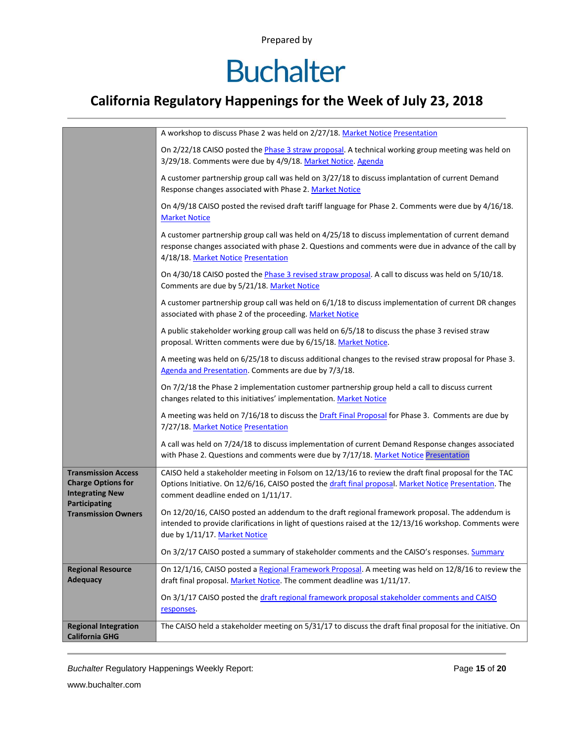## **Buchalter**

### **California Regulatory Happenings for the Week of July 23, 2018**

|                                                                                                    | A workshop to discuss Phase 2 was held on 2/27/18. Market Notice Presentation                                                                                                                                                                         |  |  |  |
|----------------------------------------------------------------------------------------------------|-------------------------------------------------------------------------------------------------------------------------------------------------------------------------------------------------------------------------------------------------------|--|--|--|
|                                                                                                    | On 2/22/18 CAISO posted the Phase 3 straw proposal. A technical working group meeting was held on<br>3/29/18. Comments were due by 4/9/18. Market Notice. Agenda                                                                                      |  |  |  |
|                                                                                                    | A customer partnership group call was held on 3/27/18 to discuss implantation of current Demand<br>Response changes associated with Phase 2. Market Notice                                                                                            |  |  |  |
|                                                                                                    | On 4/9/18 CAISO posted the revised draft tariff language for Phase 2. Comments were due by 4/16/18.<br><b>Market Notice</b>                                                                                                                           |  |  |  |
|                                                                                                    | A customer partnership group call was held on 4/25/18 to discuss implementation of current demand<br>response changes associated with phase 2. Questions and comments were due in advance of the call by<br>4/18/18. Market Notice Presentation       |  |  |  |
|                                                                                                    | On 4/30/18 CAISO posted the Phase 3 revised straw proposal. A call to discuss was held on 5/10/18.<br>Comments are due by 5/21/18. Market Notice                                                                                                      |  |  |  |
|                                                                                                    | A customer partnership group call was held on 6/1/18 to discuss implementation of current DR changes<br>associated with phase 2 of the proceeding. Market Notice                                                                                      |  |  |  |
|                                                                                                    | A public stakeholder working group call was held on 6/5/18 to discuss the phase 3 revised straw<br>proposal. Written comments were due by 6/15/18. Market Notice.                                                                                     |  |  |  |
|                                                                                                    | A meeting was held on 6/25/18 to discuss additional changes to the revised straw proposal for Phase 3.<br>Agenda and Presentation. Comments are due by 7/3/18.                                                                                        |  |  |  |
|                                                                                                    | On 7/2/18 the Phase 2 implementation customer partnership group held a call to discuss current<br>changes related to this initiatives' implementation. Market Notice                                                                                  |  |  |  |
|                                                                                                    | A meeting was held on 7/16/18 to discuss the Draft Final Proposal for Phase 3. Comments are due by<br>7/27/18. Market Notice Presentation                                                                                                             |  |  |  |
|                                                                                                    | A call was held on 7/24/18 to discuss implementation of current Demand Response changes associated<br>with Phase 2. Questions and comments were due by 7/17/18. Market Notice Presentation                                                            |  |  |  |
| <b>Transmission Access</b><br><b>Charge Options for</b><br><b>Integrating New</b><br>Participating | CAISO held a stakeholder meeting in Folsom on 12/13/16 to review the draft final proposal for the TAC<br>Options Initiative. On 12/6/16, CAISO posted the draft final proposal. Market Notice Presentation. The<br>comment deadline ended on 1/11/17. |  |  |  |
| <b>Transmission Owners</b>                                                                         | On 12/20/16, CAISO posted an addendum to the draft regional framework proposal. The addendum is<br>intended to provide clarifications in light of questions raised at the 12/13/16 workshop. Comments were<br>due by 1/11/17. Market Notice           |  |  |  |
|                                                                                                    | On 3/2/17 CAISO posted a summary of stakeholder comments and the CAISO's responses. Summary                                                                                                                                                           |  |  |  |
| <b>Regional Resource</b><br><b>Adequacy</b>                                                        | On 12/1/16, CAISO posted a Regional Framework Proposal. A meeting was held on 12/8/16 to review the<br>draft final proposal. Market Notice. The comment deadline was 1/11/17.                                                                         |  |  |  |
|                                                                                                    | On 3/1/17 CAISO posted the draft regional framework proposal stakeholder comments and CAISO<br>responses.                                                                                                                                             |  |  |  |
| <b>Regional Integration</b><br><b>California GHG</b>                                               | The CAISO held a stakeholder meeting on 5/31/17 to discuss the draft final proposal for the initiative. On                                                                                                                                            |  |  |  |

*Buchalter* Regulatory Happenings Weekly Report: Page **15** of **20**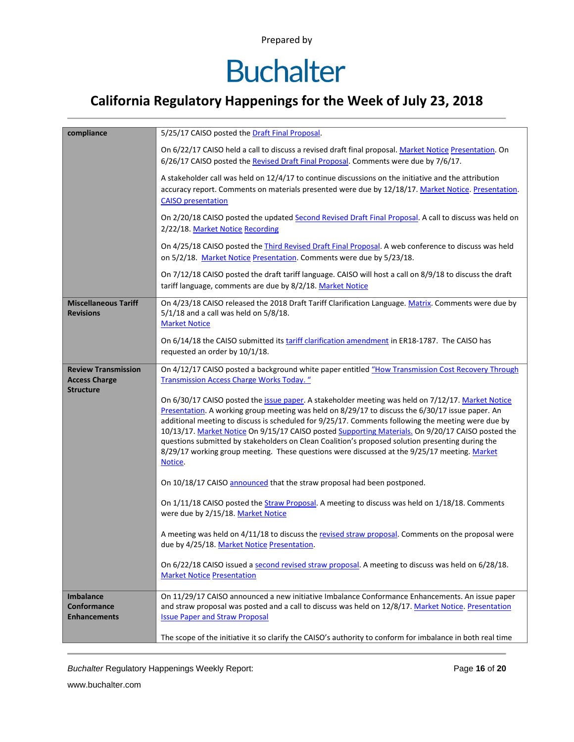# **Buchalter**

### **California Regulatory Happenings for the Week of July 23, 2018**

| compliance                                                             | 5/25/17 CAISO posted the Draft Final Proposal.                                                                                                                                                                                                                                                                                                                                                                                                                                                                                                                                                                                  |  |  |  |  |  |
|------------------------------------------------------------------------|---------------------------------------------------------------------------------------------------------------------------------------------------------------------------------------------------------------------------------------------------------------------------------------------------------------------------------------------------------------------------------------------------------------------------------------------------------------------------------------------------------------------------------------------------------------------------------------------------------------------------------|--|--|--|--|--|
|                                                                        | On 6/22/17 CAISO held a call to discuss a revised draft final proposal. Market Notice Presentation. On<br>6/26/17 CAISO posted the Revised Draft Final Proposal. Comments were due by 7/6/17.                                                                                                                                                                                                                                                                                                                                                                                                                                   |  |  |  |  |  |
|                                                                        | A stakeholder call was held on 12/4/17 to continue discussions on the initiative and the attribution<br>accuracy report. Comments on materials presented were due by 12/18/17. Market Notice. Presentation.<br><b>CAISO</b> presentation                                                                                                                                                                                                                                                                                                                                                                                        |  |  |  |  |  |
|                                                                        | On 2/20/18 CAISO posted the updated Second Revised Draft Final Proposal. A call to discuss was held on<br>2/22/18. Market Notice Recording                                                                                                                                                                                                                                                                                                                                                                                                                                                                                      |  |  |  |  |  |
|                                                                        | On 4/25/18 CAISO posted the Third Revised Draft Final Proposal. A web conference to discuss was held<br>on 5/2/18. Market Notice Presentation. Comments were due by 5/23/18.                                                                                                                                                                                                                                                                                                                                                                                                                                                    |  |  |  |  |  |
|                                                                        | On 7/12/18 CAISO posted the draft tariff language. CAISO will host a call on 8/9/18 to discuss the draft<br>tariff language, comments are due by 8/2/18. Market Notice                                                                                                                                                                                                                                                                                                                                                                                                                                                          |  |  |  |  |  |
| <b>Miscellaneous Tariff</b><br><b>Revisions</b>                        | On 4/23/18 CAISO released the 2018 Draft Tariff Clarification Language. Matrix. Comments were due by<br>$5/1/18$ and a call was held on $5/8/18$ .<br><b>Market Notice</b>                                                                                                                                                                                                                                                                                                                                                                                                                                                      |  |  |  |  |  |
|                                                                        | On 6/14/18 the CAISO submitted its tariff clarification amendment in ER18-1787. The CAISO has<br>requested an order by 10/1/18.                                                                                                                                                                                                                                                                                                                                                                                                                                                                                                 |  |  |  |  |  |
| <b>Review Transmission</b><br><b>Access Charge</b><br><b>Structure</b> | On 4/12/17 CAISO posted a background white paper entitled "How Transmission Cost Recovery Through<br><b>Transmission Access Charge Works Today.</b> "                                                                                                                                                                                                                                                                                                                                                                                                                                                                           |  |  |  |  |  |
|                                                                        | On 6/30/17 CAISO posted the issue paper. A stakeholder meeting was held on 7/12/17. Market Notice<br>Presentation. A working group meeting was held on 8/29/17 to discuss the 6/30/17 issue paper. An<br>additional meeting to discuss is scheduled for 9/25/17. Comments following the meeting were due by<br>10/13/17. Market Notice On 9/15/17 CAISO posted Supporting Materials. On 9/20/17 CAISO posted the<br>questions submitted by stakeholders on Clean Coalition's proposed solution presenting during the<br>8/29/17 working group meeting. These questions were discussed at the 9/25/17 meeting. Market<br>Notice. |  |  |  |  |  |
|                                                                        | On 10/18/17 CAISO announced that the straw proposal had been postponed.                                                                                                                                                                                                                                                                                                                                                                                                                                                                                                                                                         |  |  |  |  |  |
|                                                                        | On 1/11/18 CAISO posted the Straw Proposal. A meeting to discuss was held on 1/18/18. Comments<br>were due by 2/15/18. Market Notice                                                                                                                                                                                                                                                                                                                                                                                                                                                                                            |  |  |  |  |  |
|                                                                        | A meeting was held on 4/11/18 to discuss the revised straw proposal. Comments on the proposal were<br>due by 4/25/18. Market Notice Presentation.                                                                                                                                                                                                                                                                                                                                                                                                                                                                               |  |  |  |  |  |
|                                                                        | On 6/22/18 CAISO issued a second revised straw proposal. A meeting to discuss was held on 6/28/18.<br><b>Market Notice Presentation</b>                                                                                                                                                                                                                                                                                                                                                                                                                                                                                         |  |  |  |  |  |
| <b>Imbalance</b><br>Conformance<br><b>Enhancements</b>                 | On 11/29/17 CAISO announced a new initiative Imbalance Conformance Enhancements. An issue paper<br>and straw proposal was posted and a call to discuss was held on 12/8/17. Market Notice. Presentation<br><b>Issue Paper and Straw Proposal</b>                                                                                                                                                                                                                                                                                                                                                                                |  |  |  |  |  |
|                                                                        | The scope of the initiative it so clarify the CAISO's authority to conform for imbalance in both real time                                                                                                                                                                                                                                                                                                                                                                                                                                                                                                                      |  |  |  |  |  |

*Buchalter* Regulatory Happenings Weekly Report: Page **16** of **20**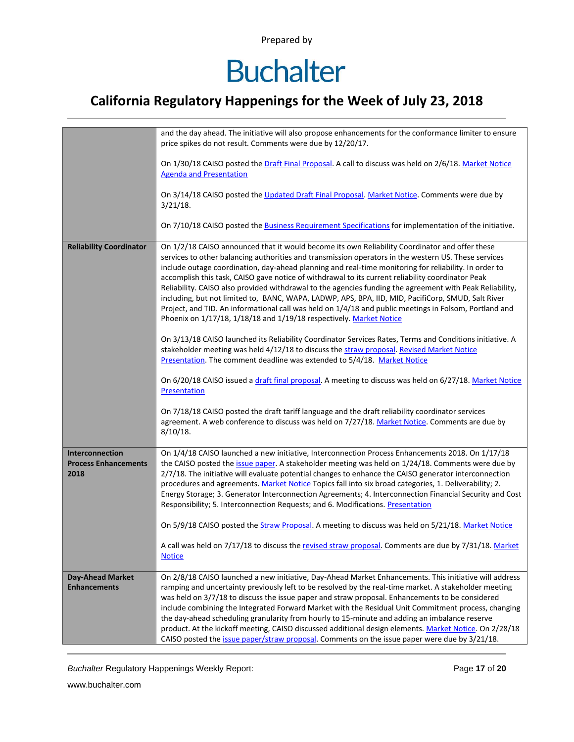### **Buchalter**

### **California Regulatory Happenings for the Week of July 23, 2018**

|                                                        | and the day ahead. The initiative will also propose enhancements for the conformance limiter to ensure<br>price spikes do not result. Comments were due by 12/20/17.                                                                                                                                                                                                                                                                                                                                                                                                                                                                                                                                                                                                                                                                                                                                                                                                                                                             |  |  |  |  |
|--------------------------------------------------------|----------------------------------------------------------------------------------------------------------------------------------------------------------------------------------------------------------------------------------------------------------------------------------------------------------------------------------------------------------------------------------------------------------------------------------------------------------------------------------------------------------------------------------------------------------------------------------------------------------------------------------------------------------------------------------------------------------------------------------------------------------------------------------------------------------------------------------------------------------------------------------------------------------------------------------------------------------------------------------------------------------------------------------|--|--|--|--|
|                                                        | On 1/30/18 CAISO posted the Draft Final Proposal. A call to discuss was held on 2/6/18. Market Notice<br><b>Agenda and Presentation</b>                                                                                                                                                                                                                                                                                                                                                                                                                                                                                                                                                                                                                                                                                                                                                                                                                                                                                          |  |  |  |  |
|                                                        | On 3/14/18 CAISO posted the Updated Draft Final Proposal. Market Notice. Comments were due by<br>$3/21/18$ .                                                                                                                                                                                                                                                                                                                                                                                                                                                                                                                                                                                                                                                                                                                                                                                                                                                                                                                     |  |  |  |  |
|                                                        | On 7/10/18 CAISO posted the Business Requirement Specifications for implementation of the initiative.                                                                                                                                                                                                                                                                                                                                                                                                                                                                                                                                                                                                                                                                                                                                                                                                                                                                                                                            |  |  |  |  |
| <b>Reliability Coordinator</b>                         | On 1/2/18 CAISO announced that it would become its own Reliability Coordinator and offer these<br>services to other balancing authorities and transmission operators in the western US. These services<br>include outage coordination, day-ahead planning and real-time monitoring for reliability. In order to<br>accomplish this task, CAISO gave notice of withdrawal to its current reliability coordinator Peak<br>Reliability. CAISO also provided withdrawal to the agencies funding the agreement with Peak Reliability,<br>including, but not limited to, BANC, WAPA, LADWP, APS, BPA, IID, MID, PacifiCorp, SMUD, Salt River<br>Project, and TID. An informational call was held on 1/4/18 and public meetings in Folsom, Portland and<br>Phoenix on 1/17/18, 1/18/18 and 1/19/18 respectively. Market Notice<br>On 3/13/18 CAISO launched its Reliability Coordinator Services Rates, Terms and Conditions initiative. A<br>stakeholder meeting was held 4/12/18 to discuss the straw proposal. Revised Market Notice |  |  |  |  |
|                                                        | Presentation. The comment deadline was extended to 5/4/18. Market Notice<br>On 6/20/18 CAISO issued a draft final proposal. A meeting to discuss was held on 6/27/18. Market Notice<br>Presentation                                                                                                                                                                                                                                                                                                                                                                                                                                                                                                                                                                                                                                                                                                                                                                                                                              |  |  |  |  |
|                                                        | On 7/18/18 CAISO posted the draft tariff language and the draft reliability coordinator services<br>agreement. A web conference to discuss was held on 7/27/18. Market Notice. Comments are due by<br>$8/10/18$ .                                                                                                                                                                                                                                                                                                                                                                                                                                                                                                                                                                                                                                                                                                                                                                                                                |  |  |  |  |
| Interconnection<br><b>Process Enhancements</b><br>2018 | On 1/4/18 CAISO launched a new initiative, Interconnection Process Enhancements 2018. On 1/17/18<br>the CAISO posted the issue paper. A stakeholder meeting was held on 1/24/18. Comments were due by<br>2/7/18. The initiative will evaluate potential changes to enhance the CAISO generator interconnection<br>procedures and agreements. Market Notice Topics fall into six broad categories, 1. Deliverability; 2.<br>Energy Storage; 3. Generator Interconnection Agreements; 4. Interconnection Financial Security and Cost<br>Responsibility; 5. Interconnection Requests; and 6. Modifications. Presentation<br>On 5/9/18 CAISO posted the Straw Proposal. A meeting to discuss was held on 5/21/18. Market Notice                                                                                                                                                                                                                                                                                                      |  |  |  |  |
|                                                        | A call was held on 7/17/18 to discuss the revised straw proposal. Comments are due by 7/31/18. Market<br><b>Notice</b>                                                                                                                                                                                                                                                                                                                                                                                                                                                                                                                                                                                                                                                                                                                                                                                                                                                                                                           |  |  |  |  |
| <b>Day-Ahead Market</b>                                | On 2/8/18 CAISO launched a new initiative, Day-Ahead Market Enhancements. This initiative will address                                                                                                                                                                                                                                                                                                                                                                                                                                                                                                                                                                                                                                                                                                                                                                                                                                                                                                                           |  |  |  |  |
| <b>Enhancements</b>                                    | ramping and uncertainty previously left to be resolved by the real-time market. A stakeholder meeting<br>was held on 3/7/18 to discuss the issue paper and straw proposal. Enhancements to be considered                                                                                                                                                                                                                                                                                                                                                                                                                                                                                                                                                                                                                                                                                                                                                                                                                         |  |  |  |  |
|                                                        | include combining the Integrated Forward Market with the Residual Unit Commitment process, changing                                                                                                                                                                                                                                                                                                                                                                                                                                                                                                                                                                                                                                                                                                                                                                                                                                                                                                                              |  |  |  |  |
|                                                        | the day-ahead scheduling granularity from hourly to 15-minute and adding an imbalance reserve<br>product. At the kickoff meeting, CAISO discussed additional design elements. Market Notice. On 2/28/18<br>CAISO posted the <i>issue paper/straw proposal</i> . Comments on the issue paper were due by 3/21/18.                                                                                                                                                                                                                                                                                                                                                                                                                                                                                                                                                                                                                                                                                                                 |  |  |  |  |

*Buchalter* Regulatory Happenings Weekly Report: Page **17** of **20**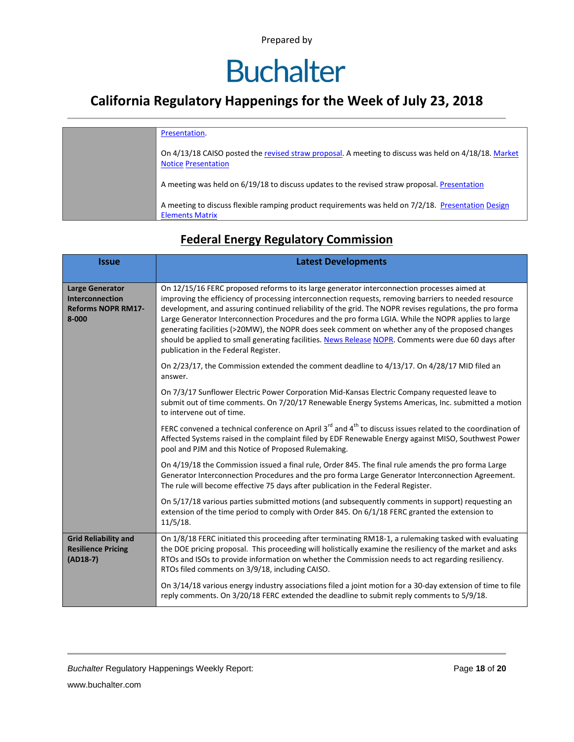### **Buchalter**

### **California Regulatory Happenings for the Week of July 23, 2018**

| Presentation.                                                                                                                      |
|------------------------------------------------------------------------------------------------------------------------------------|
| On 4/13/18 CAISO posted the revised straw proposal. A meeting to discuss was held on 4/18/18. Market<br><b>Notice Presentation</b> |
| A meeting was held on 6/19/18 to discuss updates to the revised straw proposal. Presentation                                       |
| A meeting to discuss flexible ramping product requirements was held on 7/2/18. Presentation Design<br><b>Elements Matrix</b>       |

#### **Federal Energy Regulatory Commission**

| <b>Issue</b>                                                                               | <b>Latest Developments</b>                                                                                                                                                                                                                                                                                                                                                                                                                                                                                                                                                                                                                                                 |  |  |  |  |
|--------------------------------------------------------------------------------------------|----------------------------------------------------------------------------------------------------------------------------------------------------------------------------------------------------------------------------------------------------------------------------------------------------------------------------------------------------------------------------------------------------------------------------------------------------------------------------------------------------------------------------------------------------------------------------------------------------------------------------------------------------------------------------|--|--|--|--|
| <b>Large Generator</b><br><b>Interconnection</b><br><b>Reforms NOPR RM17-</b><br>$8 - 000$ | On 12/15/16 FERC proposed reforms to its large generator interconnection processes aimed at<br>improving the efficiency of processing interconnection requests, removing barriers to needed resource<br>development, and assuring continued reliability of the grid. The NOPR revises regulations, the pro forma<br>Large Generator Interconnection Procedures and the pro forma LGIA. While the NOPR applies to large<br>generating facilities (>20MW), the NOPR does seek comment on whether any of the proposed changes<br>should be applied to small generating facilities. News Release NOPR. Comments were due 60 days after<br>publication in the Federal Register. |  |  |  |  |
|                                                                                            | On 2/23/17, the Commission extended the comment deadline to 4/13/17. On 4/28/17 MID filed an<br>answer.                                                                                                                                                                                                                                                                                                                                                                                                                                                                                                                                                                    |  |  |  |  |
|                                                                                            | On 7/3/17 Sunflower Electric Power Corporation Mid-Kansas Electric Company requested leave to<br>submit out of time comments. On 7/20/17 Renewable Energy Systems Americas, Inc. submitted a motion<br>to intervene out of time.                                                                                                                                                                                                                                                                                                                                                                                                                                           |  |  |  |  |
|                                                                                            | FERC convened a technical conference on April 3 <sup>rd</sup> and 4 <sup>th</sup> to discuss issues related to the coordination of<br>Affected Systems raised in the complaint filed by EDF Renewable Energy against MISO, Southwest Power<br>pool and PJM and this Notice of Proposed Rulemaking.                                                                                                                                                                                                                                                                                                                                                                         |  |  |  |  |
|                                                                                            | On 4/19/18 the Commission issued a final rule, Order 845. The final rule amends the pro forma Large<br>Generator Interconnection Procedures and the pro forma Large Generator Interconnection Agreement.<br>The rule will become effective 75 days after publication in the Federal Register.                                                                                                                                                                                                                                                                                                                                                                              |  |  |  |  |
|                                                                                            | On 5/17/18 various parties submitted motions (and subsequently comments in support) requesting an<br>extension of the time period to comply with Order 845. On 6/1/18 FERC granted the extension to<br>11/5/18.                                                                                                                                                                                                                                                                                                                                                                                                                                                            |  |  |  |  |
| <b>Grid Reliability and</b><br><b>Resilience Pricing</b><br>$(AD18-7)$                     | On 1/8/18 FERC initiated this proceeding after terminating RM18-1, a rulemaking tasked with evaluating<br>the DOE pricing proposal. This proceeding will holistically examine the resiliency of the market and asks<br>RTOs and ISOs to provide information on whether the Commission needs to act regarding resiliency.<br>RTOs filed comments on 3/9/18, including CAISO.                                                                                                                                                                                                                                                                                                |  |  |  |  |
|                                                                                            | On 3/14/18 various energy industry associations filed a joint motion for a 30-day extension of time to file<br>reply comments. On 3/20/18 FERC extended the deadline to submit reply comments to 5/9/18.                                                                                                                                                                                                                                                                                                                                                                                                                                                                   |  |  |  |  |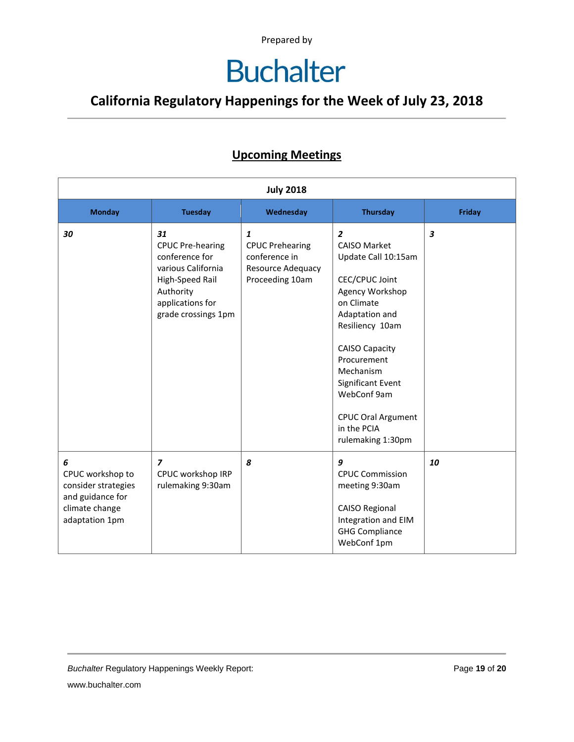### **Buchalter**

### **California Regulatory Happenings for the Week of July 23, 2018**

#### **Upcoming Meetings**

| <b>July 2018</b>                                                                                     |                                                                                                                                                  |                                                                                                 |                                                                                                                                                                                                                                                                                                                |                         |
|------------------------------------------------------------------------------------------------------|--------------------------------------------------------------------------------------------------------------------------------------------------|-------------------------------------------------------------------------------------------------|----------------------------------------------------------------------------------------------------------------------------------------------------------------------------------------------------------------------------------------------------------------------------------------------------------------|-------------------------|
| <b>Monday</b>                                                                                        | <b>Tuesday</b>                                                                                                                                   | Wednesday                                                                                       | <b>Thursday</b>                                                                                                                                                                                                                                                                                                | <b>Friday</b>           |
| 30                                                                                                   | 31<br><b>CPUC Pre-hearing</b><br>conference for<br>various California<br>High-Speed Rail<br>Authority<br>applications for<br>grade crossings 1pm | $\mathbf{1}$<br><b>CPUC Prehearing</b><br>conference in<br>Resource Adequacy<br>Proceeding 10am | $\overline{2}$<br><b>CAISO Market</b><br>Update Call 10:15am<br>CEC/CPUC Joint<br>Agency Workshop<br>on Climate<br>Adaptation and<br>Resiliency 10am<br><b>CAISO Capacity</b><br>Procurement<br>Mechanism<br>Significant Event<br>WebConf 9am<br><b>CPUC Oral Argument</b><br>in the PCIA<br>rulemaking 1:30pm | $\overline{\mathbf{3}}$ |
| 6<br>CPUC workshop to<br>consider strategies<br>and guidance for<br>climate change<br>adaptation 1pm | $\overline{z}$<br>CPUC workshop IRP<br>rulemaking 9:30am                                                                                         | 8                                                                                               | 9<br><b>CPUC Commission</b><br>meeting 9:30am<br><b>CAISO Regional</b><br>Integration and EIM<br><b>GHG Compliance</b><br>WebConf 1pm                                                                                                                                                                          | 10                      |